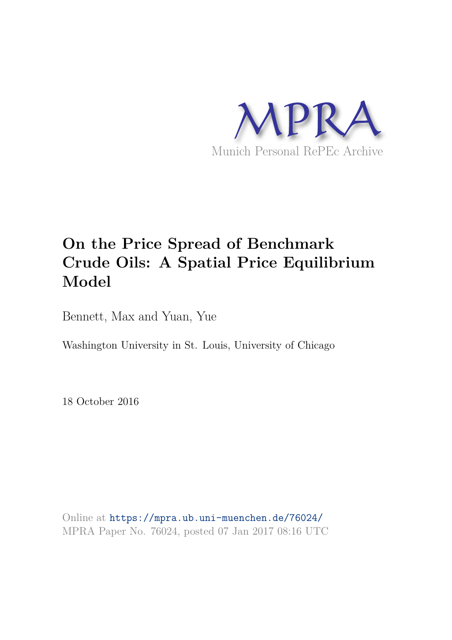

# **On the Price Spread of Benchmark Crude Oils: A Spatial Price Equilibrium Model**

Bennett, Max and Yuan, Yue

Washington University in St. Louis, University of Chicago

18 October 2016

Online at https://mpra.ub.uni-muenchen.de/76024/ MPRA Paper No. 76024, posted 07 Jan 2017 08:16 UTC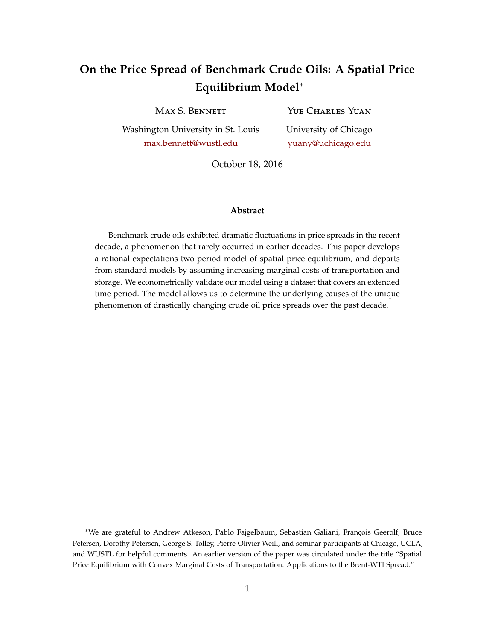# **On the Price Spread of Benchmark Crude Oils: A Spatial Price Equilibrium Model**<sup>∗</sup>

Max S. Bennett

YUE CHARLES YUAN

Washington University in St. Louis max.bennett@wustl.edu

University of Chicago yuany@uchicago.edu

October 18, 2016

#### **Abstract**

Benchmark crude oils exhibited dramatic fluctuations in price spreads in the recent decade, a phenomenon that rarely occurred in earlier decades. This paper develops a rational expectations two-period model of spatial price equilibrium, and departs from standard models by assuming increasing marginal costs of transportation and storage. We econometrically validate our model using a dataset that covers an extended time period. The model allows us to determine the underlying causes of the unique phenomenon of drastically changing crude oil price spreads over the past decade.

<sup>∗</sup>We are grateful to Andrew Atkeson, Pablo Fajgelbaum, Sebastian Galiani, François Geerolf, Bruce Petersen, Dorothy Petersen, George S. Tolley, Pierre-Olivier Weill, and seminar participants at Chicago, UCLA, and WUSTL for helpful comments. An earlier version of the paper was circulated under the title "Spatial Price Equilibrium with Convex Marginal Costs of Transportation: Applications to the Brent-WTI Spread."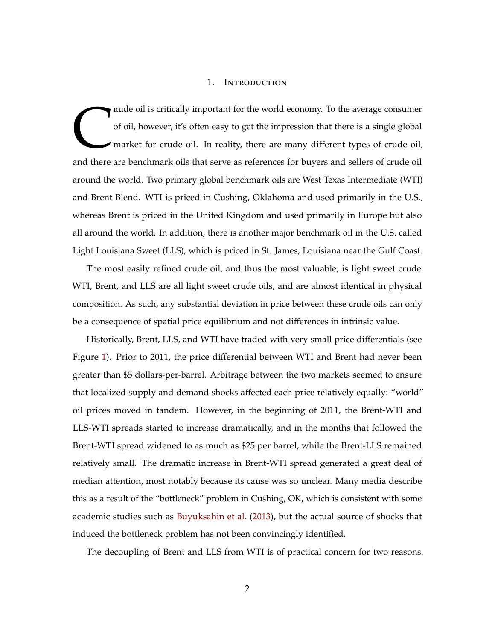#### 1. Introduction

C<br>and there rude oil is critically important for the world economy. To the average consumer of oil, however, it's often easy to get the impression that there is a single global market for crude oil. In reality, there are many different types of crude oil, and there are benchmark oils that serve as references for buyers and sellers of crude oil around the world. Two primary global benchmark oils are West Texas Intermediate (WTI) and Brent Blend. WTI is priced in Cushing, Oklahoma and used primarily in the U.S., whereas Brent is priced in the United Kingdom and used primarily in Europe but also all around the world. In addition, there is another major benchmark oil in the U.S. called Light Louisiana Sweet (LLS), which is priced in St. James, Louisiana near the Gulf Coast.

The most easily refined crude oil, and thus the most valuable, is light sweet crude. WTI, Brent, and LLS are all light sweet crude oils, and are almost identical in physical composition. As such, any substantial deviation in price between these crude oils can only be a consequence of spatial price equilibrium and not differences in intrinsic value.

Historically, Brent, LLS, and WTI have traded with very small price differentials (see Figure 1). Prior to 2011, the price differential between WTI and Brent had never been greater than \$5 dollars-per-barrel. Arbitrage between the two markets seemed to ensure that localized supply and demand shocks affected each price relatively equally: "world" oil prices moved in tandem. However, in the beginning of 2011, the Brent-WTI and LLS-WTI spreads started to increase dramatically, and in the months that followed the Brent-WTI spread widened to as much as \$25 per barrel, while the Brent-LLS remained relatively small. The dramatic increase in Brent-WTI spread generated a great deal of median attention, most notably because its cause was so unclear. Many media describe this as a result of the "bottleneck" problem in Cushing, OK, which is consistent with some academic studies such as Buyuksahin et al. (2013), but the actual source of shocks that induced the bottleneck problem has not been convincingly identified.

The decoupling of Brent and LLS from WTI is of practical concern for two reasons.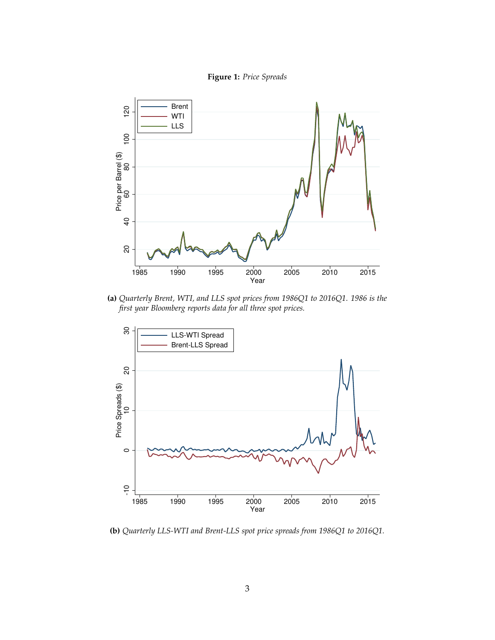



**(a)** *Quarterly Brent, WTI, and LLS spot prices from 1986Q1 to 2016Q1. 1986 is the first year Bloomberg reports data for all three spot prices.*



**(b)** *Quarterly LLS-WTI and Brent-LLS spot price spreads from 1986Q1 to 2016Q1.*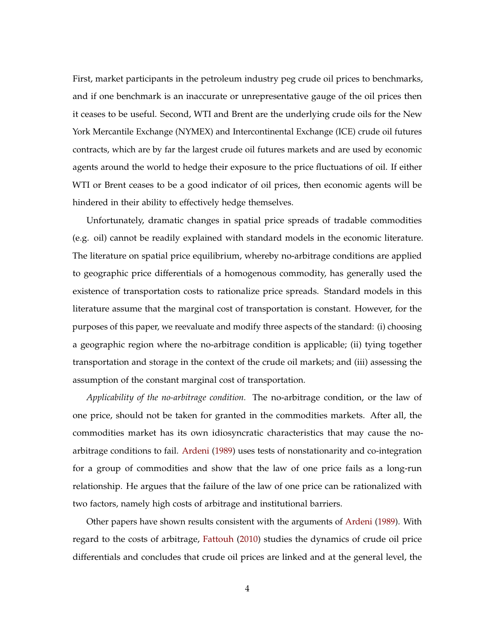First, market participants in the petroleum industry peg crude oil prices to benchmarks, and if one benchmark is an inaccurate or unrepresentative gauge of the oil prices then it ceases to be useful. Second, WTI and Brent are the underlying crude oils for the New York Mercantile Exchange (NYMEX) and Intercontinental Exchange (ICE) crude oil futures contracts, which are by far the largest crude oil futures markets and are used by economic agents around the world to hedge their exposure to the price fluctuations of oil. If either WTI or Brent ceases to be a good indicator of oil prices, then economic agents will be hindered in their ability to effectively hedge themselves.

Unfortunately, dramatic changes in spatial price spreads of tradable commodities (e.g. oil) cannot be readily explained with standard models in the economic literature. The literature on spatial price equilibrium, whereby no-arbitrage conditions are applied to geographic price differentials of a homogenous commodity, has generally used the existence of transportation costs to rationalize price spreads. Standard models in this literature assume that the marginal cost of transportation is constant. However, for the purposes of this paper, we reevaluate and modify three aspects of the standard: (i) choosing a geographic region where the no-arbitrage condition is applicable; (ii) tying together transportation and storage in the context of the crude oil markets; and (iii) assessing the assumption of the constant marginal cost of transportation.

*Applicability of the no-arbitrage condition.* The no-arbitrage condition, or the law of one price, should not be taken for granted in the commodities markets. After all, the commodities market has its own idiosyncratic characteristics that may cause the noarbitrage conditions to fail. Ardeni (1989) uses tests of nonstationarity and co-integration for a group of commodities and show that the law of one price fails as a long-run relationship. He argues that the failure of the law of one price can be rationalized with two factors, namely high costs of arbitrage and institutional barriers.

Other papers have shown results consistent with the arguments of Ardeni (1989). With regard to the costs of arbitrage, Fattouh (2010) studies the dynamics of crude oil price differentials and concludes that crude oil prices are linked and at the general level, the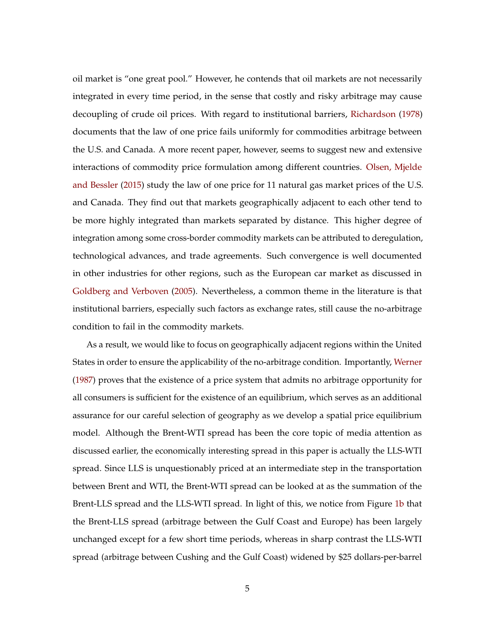oil market is "one great pool." However, he contends that oil markets are not necessarily integrated in every time period, in the sense that costly and risky arbitrage may cause decoupling of crude oil prices. With regard to institutional barriers, Richardson (1978) documents that the law of one price fails uniformly for commodities arbitrage between the U.S. and Canada. A more recent paper, however, seems to suggest new and extensive interactions of commodity price formulation among different countries. Olsen, Mjelde and Bessler (2015) study the law of one price for 11 natural gas market prices of the U.S. and Canada. They find out that markets geographically adjacent to each other tend to be more highly integrated than markets separated by distance. This higher degree of integration among some cross-border commodity markets can be attributed to deregulation, technological advances, and trade agreements. Such convergence is well documented in other industries for other regions, such as the European car market as discussed in Goldberg and Verboven (2005). Nevertheless, a common theme in the literature is that institutional barriers, especially such factors as exchange rates, still cause the no-arbitrage condition to fail in the commodity markets.

As a result, we would like to focus on geographically adjacent regions within the United States in order to ensure the applicability of the no-arbitrage condition. Importantly, Werner (1987) proves that the existence of a price system that admits no arbitrage opportunity for all consumers is sufficient for the existence of an equilibrium, which serves as an additional assurance for our careful selection of geography as we develop a spatial price equilibrium model. Although the Brent-WTI spread has been the core topic of media attention as discussed earlier, the economically interesting spread in this paper is actually the LLS-WTI spread. Since LLS is unquestionably priced at an intermediate step in the transportation between Brent and WTI, the Brent-WTI spread can be looked at as the summation of the Brent-LLS spread and the LLS-WTI spread. In light of this, we notice from Figure 1b that the Brent-LLS spread (arbitrage between the Gulf Coast and Europe) has been largely unchanged except for a few short time periods, whereas in sharp contrast the LLS-WTI spread (arbitrage between Cushing and the Gulf Coast) widened by \$25 dollars-per-barrel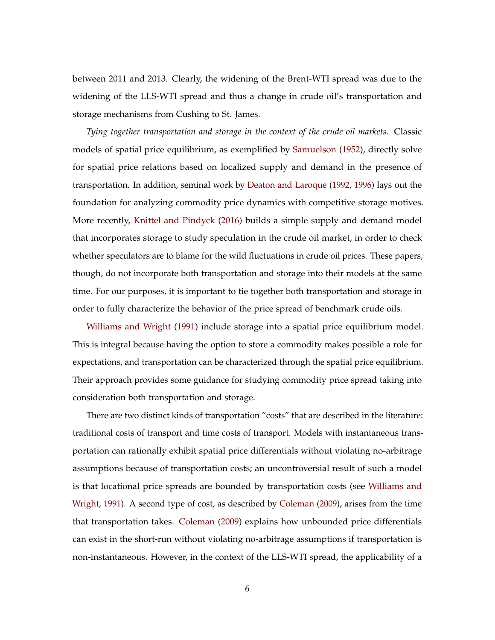between 2011 and 2013. Clearly, the widening of the Brent-WTI spread was due to the widening of the LLS-WTI spread and thus a change in crude oil's transportation and storage mechanisms from Cushing to St. James.

*Tying together transportation and storage in the context of the crude oil markets.* Classic models of spatial price equilibrium, as exemplified by Samuelson (1952), directly solve for spatial price relations based on localized supply and demand in the presence of transportation. In addition, seminal work by Deaton and Laroque (1992, 1996) lays out the foundation for analyzing commodity price dynamics with competitive storage motives. More recently, Knittel and Pindyck (2016) builds a simple supply and demand model that incorporates storage to study speculation in the crude oil market, in order to check whether speculators are to blame for the wild fluctuations in crude oil prices. These papers, though, do not incorporate both transportation and storage into their models at the same time. For our purposes, it is important to tie together both transportation and storage in order to fully characterize the behavior of the price spread of benchmark crude oils.

Williams and Wright (1991) include storage into a spatial price equilibrium model. This is integral because having the option to store a commodity makes possible a role for expectations, and transportation can be characterized through the spatial price equilibrium. Their approach provides some guidance for studying commodity price spread taking into consideration both transportation and storage.

There are two distinct kinds of transportation "costs" that are described in the literature: traditional costs of transport and time costs of transport. Models with instantaneous transportation can rationally exhibit spatial price differentials without violating no-arbitrage assumptions because of transportation costs; an uncontroversial result of such a model is that locational price spreads are bounded by transportation costs (see Williams and Wright, 1991). A second type of cost, as described by Coleman (2009), arises from the time that transportation takes. Coleman (2009) explains how unbounded price differentials can exist in the short-run without violating no-arbitrage assumptions if transportation is non-instantaneous. However, in the context of the LLS-WTI spread, the applicability of a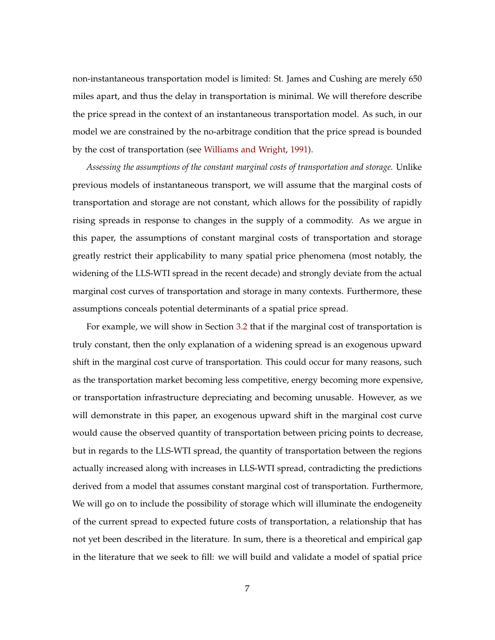non-instantaneous transportation model is limited: St. James and Cushing are merely 650 miles apart, and thus the delay in transportation is minimal. We will therefore describe the price spread in the context of an instantaneous transportation model. As such, in our model we are constrained by the no-arbitrage condition that the price spread is bounded by the cost of transportation (see Williams and Wright, 1991).

*Assessing the assumptions of the constant marginal costs of transportation and storage.* Unlike previous models of instantaneous transport, we will assume that the marginal costs of transportation and storage are not constant, which allows for the possibility of rapidly rising spreads in response to changes in the supply of a commodity. As we argue in this paper, the assumptions of constant marginal costs of transportation and storage greatly restrict their applicability to many spatial price phenomena (most notably, the widening of the LLS-WTI spread in the recent decade) and strongly deviate from the actual marginal cost curves of transportation and storage in many contexts. Furthermore, these assumptions conceals potential determinants of a spatial price spread.

For example, we will show in Section 3.2 that if the marginal cost of transportation is truly constant, then the only explanation of a widening spread is an exogenous upward shift in the marginal cost curve of transportation. This could occur for many reasons, such as the transportation market becoming less competitive, energy becoming more expensive, or transportation infrastructure depreciating and becoming unusable. However, as we will demonstrate in this paper, an exogenous upward shift in the marginal cost curve would cause the observed quantity of transportation between pricing points to decrease, but in regards to the LLS-WTI spread, the quantity of transportation between the regions actually increased along with increases in LLS-WTI spread, contradicting the predictions derived from a model that assumes constant marginal cost of transportation. Furthermore, We will go on to include the possibility of storage which will illuminate the endogeneity of the current spread to expected future costs of transportation, a relationship that has not yet been described in the literature. In sum, there is a theoretical and empirical gap in the literature that we seek to fill: we will build and validate a model of spatial price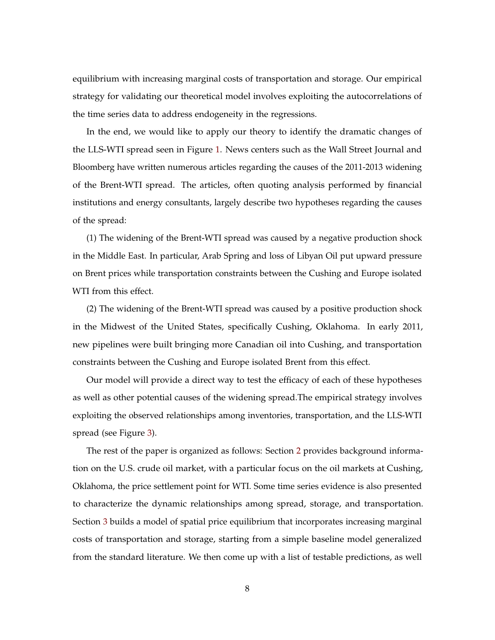equilibrium with increasing marginal costs of transportation and storage. Our empirical strategy for validating our theoretical model involves exploiting the autocorrelations of the time series data to address endogeneity in the regressions.

In the end, we would like to apply our theory to identify the dramatic changes of the LLS-WTI spread seen in Figure 1. News centers such as the Wall Street Journal and Bloomberg have written numerous articles regarding the causes of the 2011-2013 widening of the Brent-WTI spread. The articles, often quoting analysis performed by financial institutions and energy consultants, largely describe two hypotheses regarding the causes of the spread:

(1) The widening of the Brent-WTI spread was caused by a negative production shock in the Middle East. In particular, Arab Spring and loss of Libyan Oil put upward pressure on Brent prices while transportation constraints between the Cushing and Europe isolated WTI from this effect.

(2) The widening of the Brent-WTI spread was caused by a positive production shock in the Midwest of the United States, specifically Cushing, Oklahoma. In early 2011, new pipelines were built bringing more Canadian oil into Cushing, and transportation constraints between the Cushing and Europe isolated Brent from this effect.

Our model will provide a direct way to test the efficacy of each of these hypotheses as well as other potential causes of the widening spread.The empirical strategy involves exploiting the observed relationships among inventories, transportation, and the LLS-WTI spread (see Figure 3).

The rest of the paper is organized as follows: Section 2 provides background information on the U.S. crude oil market, with a particular focus on the oil markets at Cushing, Oklahoma, the price settlement point for WTI. Some time series evidence is also presented to characterize the dynamic relationships among spread, storage, and transportation. Section 3 builds a model of spatial price equilibrium that incorporates increasing marginal costs of transportation and storage, starting from a simple baseline model generalized from the standard literature. We then come up with a list of testable predictions, as well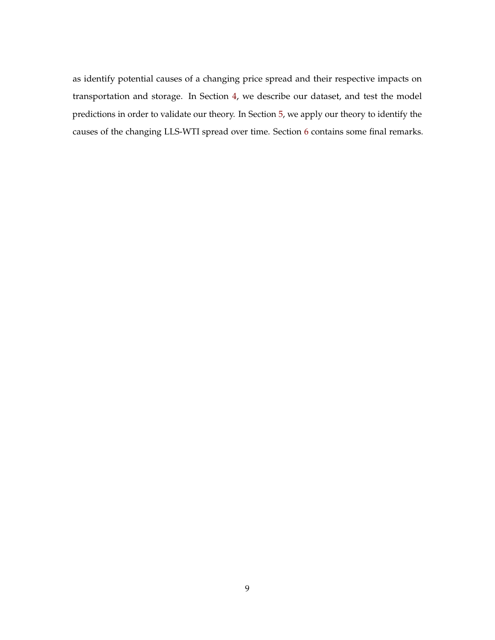as identify potential causes of a changing price spread and their respective impacts on transportation and storage. In Section 4, we describe our dataset, and test the model predictions in order to validate our theory. In Section 5, we apply our theory to identify the causes of the changing LLS-WTI spread over time. Section 6 contains some final remarks.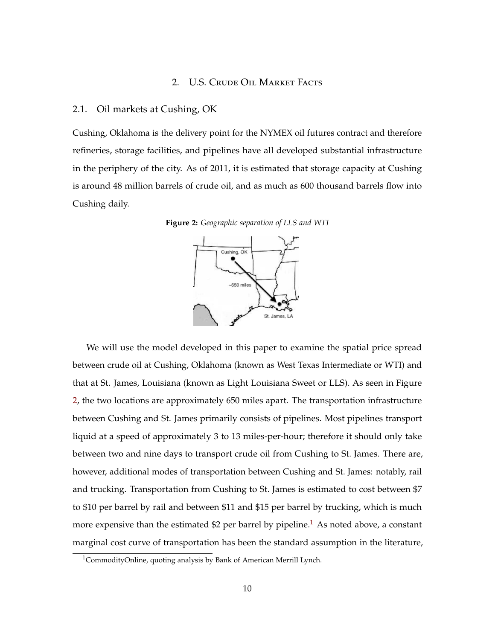# 2. U.S. Crude Oil Market Facts

#### 2.1. Oil markets at Cushing, OK

Cushing, Oklahoma is the delivery point for the NYMEX oil futures contract and therefore refineries, storage facilities, and pipelines have all developed substantial infrastructure in the periphery of the city. As of 2011, it is estimated that storage capacity at Cushing is around 48 million barrels of crude oil, and as much as 600 thousand barrels flow into Cushing daily.



**Figure 2:** *Geographic separation of LLS and WTI*

We will use the model developed in this paper to examine the spatial price spread between crude oil at Cushing, Oklahoma (known as West Texas Intermediate or WTI) and that at St. James, Louisiana (known as Light Louisiana Sweet or LLS). As seen in Figure 2, the two locations are approximately 650 miles apart. The transportation infrastructure between Cushing and St. James primarily consists of pipelines. Most pipelines transport liquid at a speed of approximately 3 to 13 miles-per-hour; therefore it should only take between two and nine days to transport crude oil from Cushing to St. James. There are, however, additional modes of transportation between Cushing and St. James: notably, rail and trucking. Transportation from Cushing to St. James is estimated to cost between \$7 to \$10 per barrel by rail and between \$11 and \$15 per barrel by trucking, which is much more expensive than the estimated \$2 per barrel by pipeline.<sup>1</sup> As noted above, a constant marginal cost curve of transportation has been the standard assumption in the literature,

<sup>&</sup>lt;sup>1</sup>CommodityOnline, quoting analysis by Bank of American Merrill Lynch.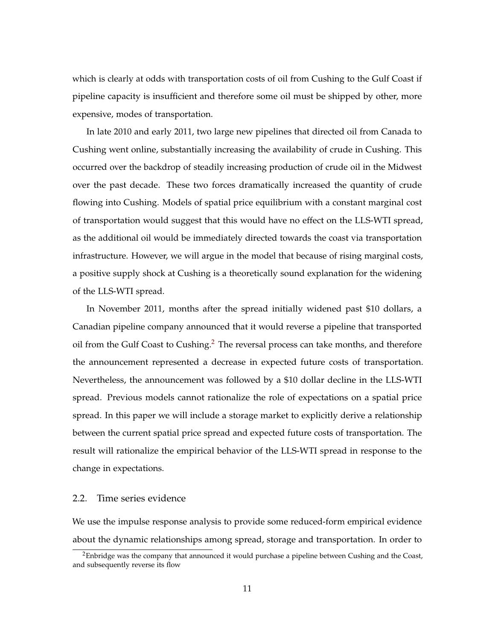which is clearly at odds with transportation costs of oil from Cushing to the Gulf Coast if pipeline capacity is insufficient and therefore some oil must be shipped by other, more expensive, modes of transportation.

In late 2010 and early 2011, two large new pipelines that directed oil from Canada to Cushing went online, substantially increasing the availability of crude in Cushing. This occurred over the backdrop of steadily increasing production of crude oil in the Midwest over the past decade. These two forces dramatically increased the quantity of crude flowing into Cushing. Models of spatial price equilibrium with a constant marginal cost of transportation would suggest that this would have no effect on the LLS-WTI spread, as the additional oil would be immediately directed towards the coast via transportation infrastructure. However, we will argue in the model that because of rising marginal costs, a positive supply shock at Cushing is a theoretically sound explanation for the widening of the LLS-WTI spread.

In November 2011, months after the spread initially widened past \$10 dollars, a Canadian pipeline company announced that it would reverse a pipeline that transported oil from the Gulf Coast to Cushing.<sup>2</sup> The reversal process can take months, and therefore the announcement represented a decrease in expected future costs of transportation. Nevertheless, the announcement was followed by a \$10 dollar decline in the LLS-WTI spread. Previous models cannot rationalize the role of expectations on a spatial price spread. In this paper we will include a storage market to explicitly derive a relationship between the current spatial price spread and expected future costs of transportation. The result will rationalize the empirical behavior of the LLS-WTI spread in response to the change in expectations.

# 2.2. Time series evidence

We use the impulse response analysis to provide some reduced-form empirical evidence about the dynamic relationships among spread, storage and transportation. In order to

<sup>&</sup>lt;sup>2</sup>Enbridge was the company that announced it would purchase a pipeline between Cushing and the Coast, and subsequently reverse its flow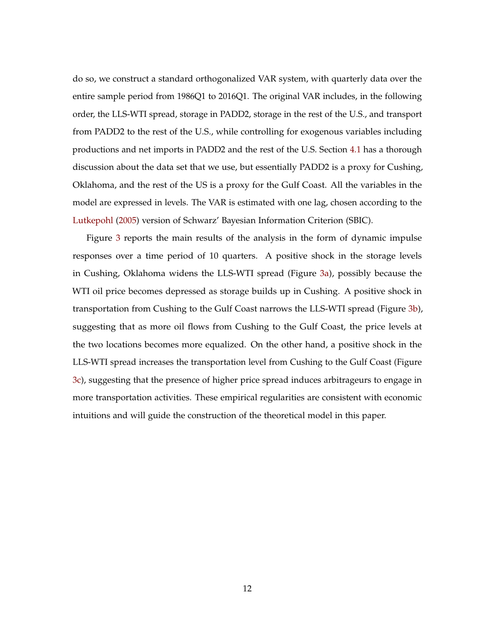do so, we construct a standard orthogonalized VAR system, with quarterly data over the entire sample period from 1986Q1 to 2016Q1. The original VAR includes, in the following order, the LLS-WTI spread, storage in PADD2, storage in the rest of the U.S., and transport from PADD2 to the rest of the U.S., while controlling for exogenous variables including productions and net imports in PADD2 and the rest of the U.S. Section 4.1 has a thorough discussion about the data set that we use, but essentially PADD2 is a proxy for Cushing, Oklahoma, and the rest of the US is a proxy for the Gulf Coast. All the variables in the model are expressed in levels. The VAR is estimated with one lag, chosen according to the Lutkepohl (2005) version of Schwarz' Bayesian Information Criterion (SBIC).

Figure 3 reports the main results of the analysis in the form of dynamic impulse responses over a time period of 10 quarters. A positive shock in the storage levels in Cushing, Oklahoma widens the LLS-WTI spread (Figure 3a), possibly because the WTI oil price becomes depressed as storage builds up in Cushing. A positive shock in transportation from Cushing to the Gulf Coast narrows the LLS-WTI spread (Figure 3b), suggesting that as more oil flows from Cushing to the Gulf Coast, the price levels at the two locations becomes more equalized. On the other hand, a positive shock in the LLS-WTI spread increases the transportation level from Cushing to the Gulf Coast (Figure 3c), suggesting that the presence of higher price spread induces arbitrageurs to engage in more transportation activities. These empirical regularities are consistent with economic intuitions and will guide the construction of the theoretical model in this paper.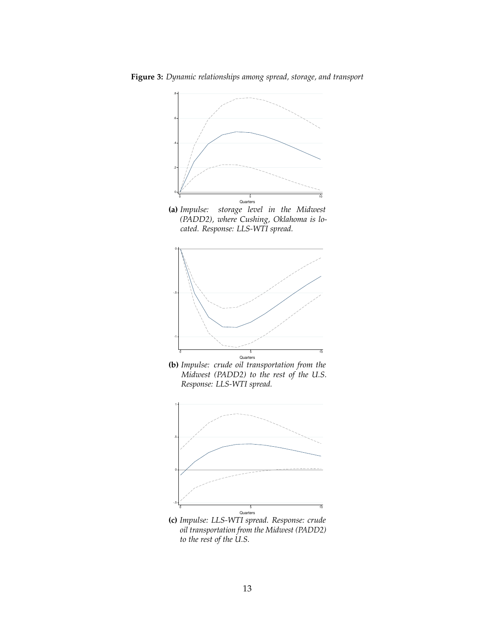









**(c)** *Impulse: LLS-WTI spread. Response: crude oil transportation from the Midwest (PADD2) to the rest of the U.S.*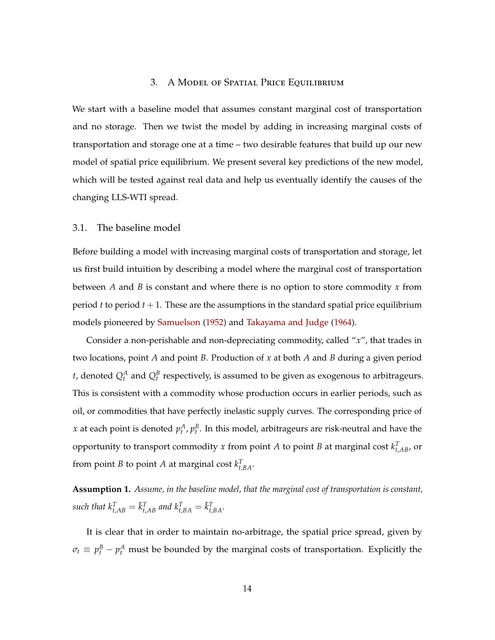# 3. A Model of Spatial Price Equilibrium

We start with a baseline model that assumes constant marginal cost of transportation and no storage. Then we twist the model by adding in increasing marginal costs of transportation and storage one at a time – two desirable features that build up our new model of spatial price equilibrium. We present several key predictions of the new model, which will be tested against real data and help us eventually identify the causes of the changing LLS-WTI spread.

#### 3.1. The baseline model

Before building a model with increasing marginal costs of transportation and storage, let us first build intuition by describing a model where the marginal cost of transportation between *A* and *B* is constant and where there is no option to store commodity *x* from period  $t$  to period  $t + 1$ . These are the assumptions in the standard spatial price equilibrium models pioneered by Samuelson (1952) and Takayama and Judge (1964).

Consider a non-perishable and non-depreciating commodity, called "*x*", that trades in two locations, point *A* and point *B*. Production of *x* at both *A* and *B* during a given period *t*, denoted  $Q_t^A$  and  $Q_t^B$  respectively, is assumed to be given as exogenous to arbitrageurs. This is consistent with a commodity whose production occurs in earlier periods, such as oil, or commodities that have perfectly inelastic supply curves. The corresponding price of *x* at each point is denoted  $p_t^A$ ,  $p_t^B$ . In this model, arbitrageurs are risk-neutral and have the opportunity to transport commodity *x* from point *A* to point *B* at marginal cost  $k_{t, AB}^T$ , or from point *B* to point *A* at marginal cost  $k_{t,BA}^T$ .

**Assumption 1.** *Assume, in the baseline model, that the marginal cost of transportation is constant,*  $s$ *such that*  $k_{t,AB}^T = \bar{k}_{t,AB}^T$  and  $k_{t,BA}^T = \bar{k}_{t,BA}^T$ .

It is clear that in order to maintain no-arbitrage, the spatial price spread, given by  $\sigma_t \equiv p_t^B - p_t^A$  must be bounded by the marginal costs of transportation. Explicitly the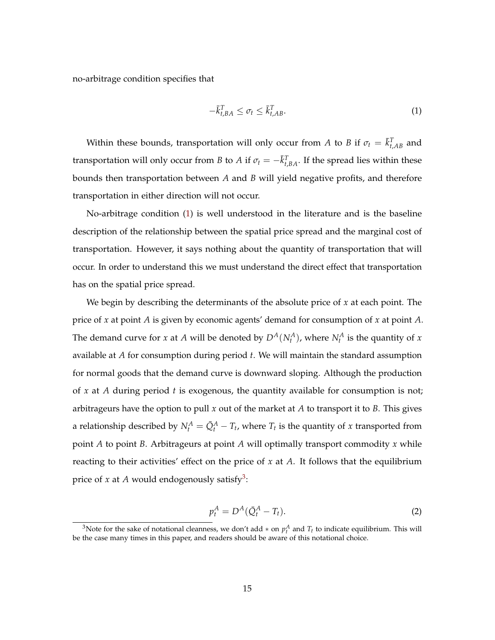no-arbitrage condition specifies that

$$
-\bar{k}_{t,BA}^T \leq \sigma_t \leq \bar{k}_{t,AB}^T.
$$

Within these bounds, transportation will only occur from *A* to *B* if  $\sigma_t = \bar{k}_{t,AB}^T$  and transportation will only occur from *B* to *A* if  $\sigma_t = -\bar{k}_{t,BA}^T$ . If the spread lies within these bounds then transportation between *A* and *B* will yield negative profits, and therefore transportation in either direction will not occur.

No-arbitrage condition (1) is well understood in the literature and is the baseline description of the relationship between the spatial price spread and the marginal cost of transportation. However, it says nothing about the quantity of transportation that will occur. In order to understand this we must understand the direct effect that transportation has on the spatial price spread.

We begin by describing the determinants of the absolute price of *x* at each point. The price of *x* at point *A* is given by economic agents' demand for consumption of *x* at point *A*. The demand curve for *x* at *A* will be denoted by  $D^A(N_t^A)$ , where  $N_t^A$  is the quantity of *x* available at *A* for consumption during period *t*. We will maintain the standard assumption for normal goods that the demand curve is downward sloping. Although the production of *x* at *A* during period *t* is exogenous, the quantity available for consumption is not; arbitrageurs have the option to pull *x* out of the market at *A* to transport it to *B*. This gives a relationship described by  $N_t^A = \bar{Q}_t^A - T_t$ , where  $T_t$  is the quantity of *x* transported from point *A* to point *B*. Arbitrageurs at point *A* will optimally transport commodity *x* while reacting to their activities' effect on the price of *x* at *A*. It follows that the equilibrium price of  $x$  at  $A$  would endogenously satisfy<sup>3</sup>:

$$
p_t^A = D^A(\bar{Q}_t^A - T_t). \tag{2}
$$

<sup>&</sup>lt;sup>3</sup>Note for the sake of notational cleanness, we don't add  $*$  on  $p_t^A$  and  $T_t$  to indicate equilibrium. This will be the case many times in this paper, and readers should be aware of this notational choice.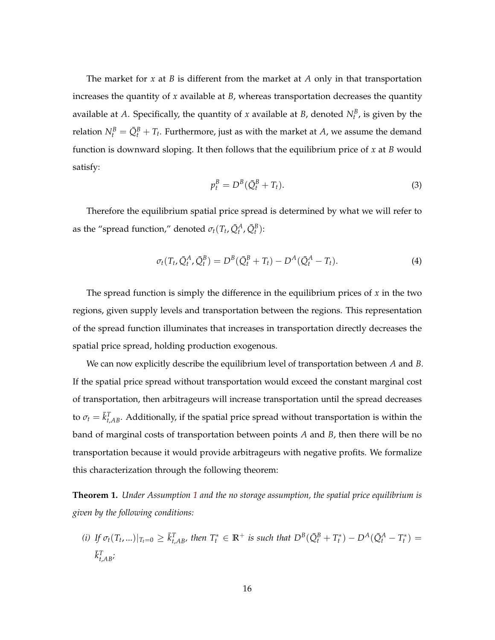The market for *x* at *B* is different from the market at *A* only in that transportation increases the quantity of *x* available at *B*, whereas transportation decreases the quantity available at A. Specifically, the quantity of x available at B, denoted  $N_t^B$ , is given by the relation  $N_t^B = \bar{Q}_t^B + T_t$ . Furthermore, just as with the market at *A*, we assume the demand function is downward sloping. It then follows that the equilibrium price of *x* at *B* would satisfy:

$$
p_t^B = D^B(\bar{Q}_t^B + T_t). \tag{3}
$$

Therefore the equilibrium spatial price spread is determined by what we will refer to as the "spread function," denoted  $\sigma_t(T_t, \bar{Q}_t^A, \bar{Q}_t^B)$ :

$$
\sigma_t(T_t, \bar{Q}_t^A, \bar{Q}_t^B) = D^B(\bar{Q}_t^B + T_t) - D^A(\bar{Q}_t^A - T_t). \tag{4}
$$

The spread function is simply the difference in the equilibrium prices of *x* in the two regions, given supply levels and transportation between the regions. This representation of the spread function illuminates that increases in transportation directly decreases the spatial price spread, holding production exogenous.

We can now explicitly describe the equilibrium level of transportation between *A* and *B*. If the spatial price spread without transportation would exceed the constant marginal cost of transportation, then arbitrageurs will increase transportation until the spread decreases to  $\sigma_t = \bar{k}_{t, AB}^T$ . Additionally, if the spatial price spread without transportation is within the band of marginal costs of transportation between points *A* and *B*, then there will be no transportation because it would provide arbitrageurs with negative profits. We formalize this characterization through the following theorem:

**Theorem 1.** *Under Assumption 1 and the no storage assumption, the spatial price equilibrium is given by the following conditions:*

(i) If  $\sigma_t(T_t,...)|_{T_t=0} \geq \bar{k}_{t,AB}^T$ , then  $T_t^* \in \mathbb{R}^+$  is such that  $D^B(\bar{Q}_t^B + T_t^*) - D^A(\bar{Q}_t^A - T_t^*) =$ ¯*k T <sup>t</sup>*,*AB;*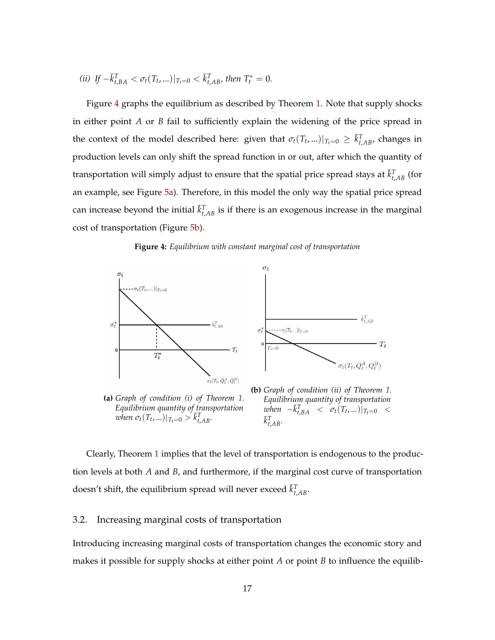(*ii*) If 
$$
-\bar{k}_{t,BA}^T < \sigma_t(T_t,...)|_{T_t=0} < \bar{k}_{t,AB}^T
$$
, then  $T_t^* = 0$ .

Figure 4 graphs the equilibrium as described by Theorem 1. Note that supply shocks in either point *A* or *B* fail to sufficiently explain the widening of the price spread in the context of the model described here: given that  $\sigma_t(T_t,...)|_{T_t=0} \geq \bar{k}_{t,AB}^T$ , changes in production levels can only shift the spread function in or out, after which the quantity of transportation will simply adjust to ensure that the spatial price spread stays at  $\bar{k}_{t,AB}^T$  (for an example, see Figure 5a). Therefore, in this model the only way the spatial price spread can increase beyond the initial  $\bar{k}_{t,AB}^T$  is if there is an exogenous increase in the marginal cost of transportation (Figure 5b).





Clearly, Theorem 1 implies that the level of transportation is endogenous to the production levels at both *A* and *B*, and furthermore, if the marginal cost curve of transportation doesn't shift, the equilibrium spread will never exceed  $\bar{k}_{t,AB}^T$ .

# 3.2. Increasing marginal costs of transportation

Introducing increasing marginal costs of transportation changes the economic story and makes it possible for supply shocks at either point *A* or point *B* to influence the equilib-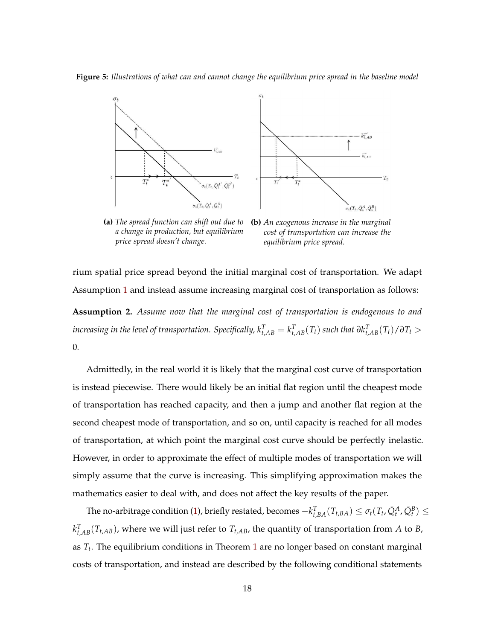**Figure 5:** *Illustrations of what can and cannot change the equilibrium price spread in the baseline model*



**(a)** *The spread function can shift out due to a change in production, but equilibrium price spread doesn't change.*

**(b)** *An exogenous increase in the marginal cost of transportation can increase the equilibrium price spread.*

rium spatial price spread beyond the initial marginal cost of transportation. We adapt Assumption 1 and instead assume increasing marginal cost of transportation as follows: **Assumption 2.** *Assume now that the marginal cost of transportation is endogenous to and* increasing in the level of transportation. Specifically,  $k_{t,AB}^T=k_{t,AB}^T(T_t)$  such that  $\partial k_{t,AB}^T(T_t)/\partial T_t>0$ 0*.*

Admittedly, in the real world it is likely that the marginal cost curve of transportation is instead piecewise. There would likely be an initial flat region until the cheapest mode of transportation has reached capacity, and then a jump and another flat region at the second cheapest mode of transportation, and so on, until capacity is reached for all modes of transportation, at which point the marginal cost curve should be perfectly inelastic. However, in order to approximate the effect of multiple modes of transportation we will simply assume that the curve is increasing. This simplifying approximation makes the mathematics easier to deal with, and does not affect the key results of the paper.

The no-arbitrage condition (1), briefly restated, becomes  $-k_{t,BA}^T(T_{t,BA}) \leq \sigma_t(T_t,\bar{Q}_t^A,\bar{Q}_t^B) \leq$  $k_{t,AB}^T(T_{t,AB})$ , where we will just refer to  $T_{t,AB}$ , the quantity of transportation from *A* to *B*, as *T<sup>t</sup>* . The equilibrium conditions in Theorem 1 are no longer based on constant marginal costs of transportation, and instead are described by the following conditional statements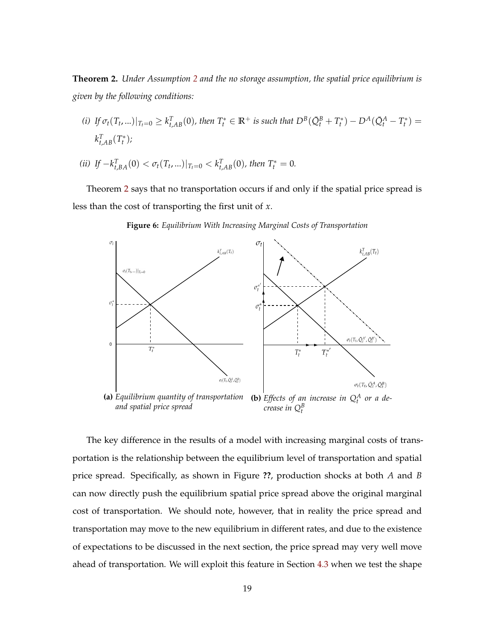**Theorem 2.** *Under Assumption 2 and the no storage assumption, the spatial price equilibrium is given by the following conditions:*

- (i) If  $\sigma_t(T_t,...)|_{T_t=0} \geq k_{t,AB}^T(0)$ , then  $T_t^* \in \mathbb{R}^+$  is such that  $D^B(\bar{Q}_t^B + T_t^*) D^A(\bar{Q}_t^A T_t^*) =$  $k_{t,AB}^T(T_t^*)$ ;
- *(ii) If*  $-k_{t,BA}^T(0) < \sigma_t(T_t,...)|_{T_t=0} < k_{t,AB}^T(0)$ , then  $T_t^* = 0$ .

Theorem 2 says that no transportation occurs if and only if the spatial price spread is less than the cost of transporting the first unit of *x*.



**Figure 6:** *Equilibrium With Increasing Marginal Costs of Transportation*

The key difference in the results of a model with increasing marginal costs of transportation is the relationship between the equilibrium level of transportation and spatial price spread. Specifically, as shown in Figure **??**, production shocks at both *A* and *B* can now directly push the equilibrium spatial price spread above the original marginal cost of transportation. We should note, however, that in reality the price spread and transportation may move to the new equilibrium in different rates, and due to the existence of expectations to be discussed in the next section, the price spread may very well move ahead of transportation. We will exploit this feature in Section 4.3 when we test the shape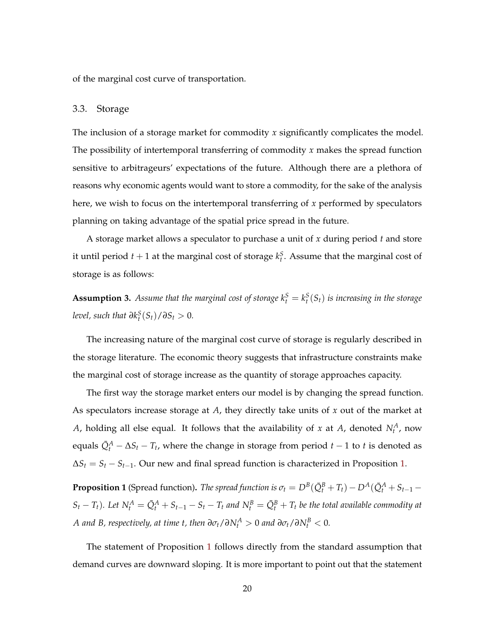of the marginal cost curve of transportation.

# 3.3. Storage

The inclusion of a storage market for commodity *x* significantly complicates the model. The possibility of intertemporal transferring of commodity *x* makes the spread function sensitive to arbitrageurs' expectations of the future. Although there are a plethora of reasons why economic agents would want to store a commodity, for the sake of the analysis here, we wish to focus on the intertemporal transferring of *x* performed by speculators planning on taking advantage of the spatial price spread in the future.

A storage market allows a speculator to purchase a unit of *x* during period *t* and store it until period  $t + 1$  at the marginal cost of storage  $k_t^S$ . Assume that the marginal cost of storage is as follows:

**Assumption 3.** Assume that the marginal cost of storage  $k_t^S = k_t^S(S_t)$  is increasing in the storage *level, such that*  $\partial k_t^S(S_t)/\partial S_t > 0$ .

The increasing nature of the marginal cost curve of storage is regularly described in the storage literature. The economic theory suggests that infrastructure constraints make the marginal cost of storage increase as the quantity of storage approaches capacity.

The first way the storage market enters our model is by changing the spread function. As speculators increase storage at *A*, they directly take units of *x* out of the market at *A*, holding all else equal. It follows that the availability of *x* at *A*, denoted  $N_t^A$ , now equals  $\bar{Q}^A_t - \Delta S_t - T_t$ , where the change in storage from period  $t-1$  to  $t$  is denoted as  $\Delta S_t = S_t - S_{t-1}$ . Our new and final spread function is characterized in Proposition 1.

**Proposition 1** (Spread function). *The spread function is*  $\sigma_t = D^B(\bar{Q}_t^B + T_t) - D^A(\bar{Q}_t^A + S_{t-1} - T_t)$  $S_t - T_t$ ). Let  $N_t^A = \bar{Q}_t^A + S_{t-1} - S_t - T_t$  and  $N_t^B = \bar{Q}_t^B + T_t$  be the total available commodity at *A* and B, respectively, at time t, then  $\partial \sigma_t / \partial N_t^A > 0$  and  $\partial \sigma_t / \partial N_t^B < 0$ .

The statement of Proposition 1 follows directly from the standard assumption that demand curves are downward sloping. It is more important to point out that the statement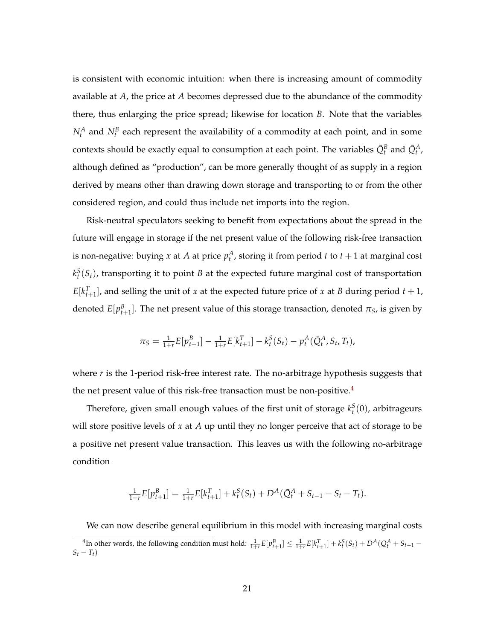is consistent with economic intuition: when there is increasing amount of commodity available at *A*, the price at *A* becomes depressed due to the abundance of the commodity there, thus enlarging the price spread; likewise for location *B*. Note that the variables  $N_t^A$  and  $N_t^B$  each represent the availability of a commodity at each point, and in some contexts should be exactly equal to consumption at each point. The variables  $\bar{Q}^B_t$  and  $\bar{Q}^A_t$ , although defined as "production", can be more generally thought of as supply in a region derived by means other than drawing down storage and transporting to or from the other considered region, and could thus include net imports into the region.

Risk-neutral speculators seeking to benefit from expectations about the spread in the future will engage in storage if the net present value of the following risk-free transaction is non-negative: buying  $x$  at  $A$  at price  $p_t^A$ , storing it from period  $t$  to  $t+1$  at marginal cost  $k_t^S(S_t)$ , transporting it to point *B* at the expected future marginal cost of transportation  $E[k_{t+1}^T]$ , and selling the unit of *x* at the expected future price of *x* at *B* during period *t* + 1, denoted  $E[p_{t+1}^B]$ . The net present value of this storage transaction, denoted  $\pi_S$ , is given by

$$
\pi_S = \frac{1}{1+r} E[p_{t+1}^B] - \frac{1}{1+r} E[k_{t+1}^T] - k_t^S(S_t) - p_t^A(\bar{Q}_t^A, S_t, T_t),
$$

where *r* is the 1-period risk-free interest rate. The no-arbitrage hypothesis suggests that the net present value of this risk-free transaction must be non-positive.<sup>4</sup>

Therefore, given small enough values of the first unit of storage  $k_t^S(0)$ , arbitrageurs will store positive levels of *x* at *A* up until they no longer perceive that act of storage to be a positive net present value transaction. This leaves us with the following no-arbitrage condition

$$
\frac{1}{1+r}E[p_{t+1}^B] = \frac{1}{1+r}E[k_{t+1}^T] + k_t^S(S_t) + D^A(\bar{Q}_t^A + S_{t-1} - S_t - T_t).
$$

We can now describe general equilibrium in this model with increasing marginal costs

<sup>&</sup>lt;sup>4</sup>In other words, the following condition must hold:  $\frac{1}{1+r}E[p_{t+1}^B] \leq \frac{1}{1+r}E[k_{t+1}^T] + k_t^S(S_t) + D^A(\bar{Q}_t^A + S_{t-1} S_t - T_t$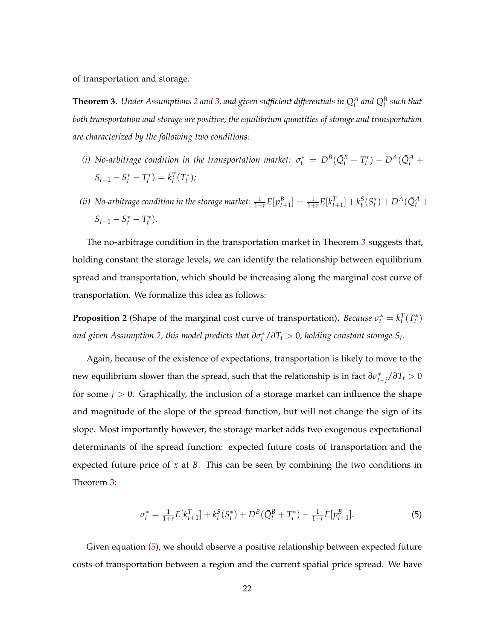of transportation and storage.

 $\bf{Theorem 3.}$  *Under Assumptions 2 and 3, and given sufficient differentials in*  $\bar{Q}^A_t$  *and*  $\bar{Q}^B_t$  *such that both transportation and storage are positive, the equilibrium quantities of storage and transportation are characterized by the following two conditions:*

- *(i) No-arbitrage condition in the transportation market:*  $\sigma_t^* = D^B(\bar{Q}_t^B + T_t^*) D^A(\bar{Q}_t^A + T_t^*)$  $S_{t-1} - S_t^* - T_t^* = k_t^T(T_t^*)$ ;
- (ii) No-arbitrage condition in the storage market:  $\frac{1}{1+r}E[p_{t+1}^B]=\frac{1}{1+r}E[k_{t+1}^T]+k_t^S(S_t^*)+D^A(\bar{Q}_t^A+$  $S_{t-1} - S_t^* - T_t^*$ ).

The no-arbitrage condition in the transportation market in Theorem 3 suggests that, holding constant the storage levels, we can identify the relationship between equilibrium spread and transportation, which should be increasing along the marginal cost curve of transportation. We formalize this idea as follows:

**Proposition 2** (Shape of the marginal cost curve of transportation). *Because*  $\sigma_t^* = k_t^T(T_t^*)$ and given Assumption 2, this model predicts that  $\partial \sigma_t^* / \partial T_t > 0$ , holding constant storage  $S_t$ .

Again, because of the existence of expectations, transportation is likely to move to the new equilibrium slower than the spread, such that the relationship is in fact  $\frac{\partial \sigma_{t-j}^*}{\partial T_t} > 0$ for some  $j > 0$ . Graphically, the inclusion of a storage market can influence the shape and magnitude of the slope of the spread function, but will not change the sign of its slope. Most importantly however, the storage market adds two exogenous expectational determinants of the spread function: expected future costs of transportation and the expected future price of *x* at *B*. This can be seen by combining the two conditions in Theorem 3:

$$
\sigma_t^* = \frac{1}{1+r} E[k_{t+1}^T] + k_t^S(S_t^*) + D^B(\bar{Q}_t^B + T_t^*) - \frac{1}{1+r} E[p_{t+1}^B].
$$
\n(5)

Given equation (5), we should observe a positive relationship between expected future costs of transportation between a region and the current spatial price spread. We have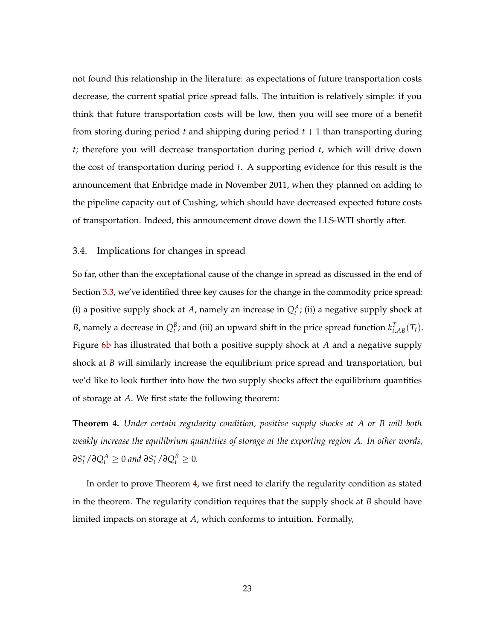not found this relationship in the literature: as expectations of future transportation costs decrease, the current spatial price spread falls. The intuition is relatively simple: if you think that future transportation costs will be low, then you will see more of a benefit from storing during period *t* and shipping during period *t* + 1 than transporting during *t*; therefore you will decrease transportation during period *t*, which will drive down the cost of transportation during period *t*. A supporting evidence for this result is the announcement that Enbridge made in November 2011, when they planned on adding to the pipeline capacity out of Cushing, which should have decreased expected future costs of transportation. Indeed, this announcement drove down the LLS-WTI shortly after.

# 3.4. Implications for changes in spread

So far, other than the exceptational cause of the change in spread as discussed in the end of Section 3.3, we've identified three key causes for the change in the commodity price spread: (i) a positive supply shock at *A*, namely an increase in  $Q_t^A$ ; (ii) a negative supply shock at *B*, namely a decrease in  $Q_t^B$ ; and (iii) an upward shift in the price spread function  $k_{t, AB}^T(T_t)$ . Figure 6b has illustrated that both a positive supply shock at *A* and a negative supply shock at *B* will similarly increase the equilibrium price spread and transportation, but we'd like to look further into how the two supply shocks affect the equilibrium quantities of storage at *A*. We first state the following theorem:

**Theorem 4.** *Under certain regularity condition, positive supply shocks at A or B will both weakly increase the equilibrium quantities of storage at the exporting region A. In other words,*  $\partial S_t^* / \partial Q_t^A \ge 0$  and  $\partial S_t^* / \partial Q_t^B \ge 0$ .

In order to prove Theorem 4, we first need to clarify the regularity condition as stated in the theorem. The regularity condition requires that the supply shock at *B* should have limited impacts on storage at *A*, which conforms to intuition. Formally,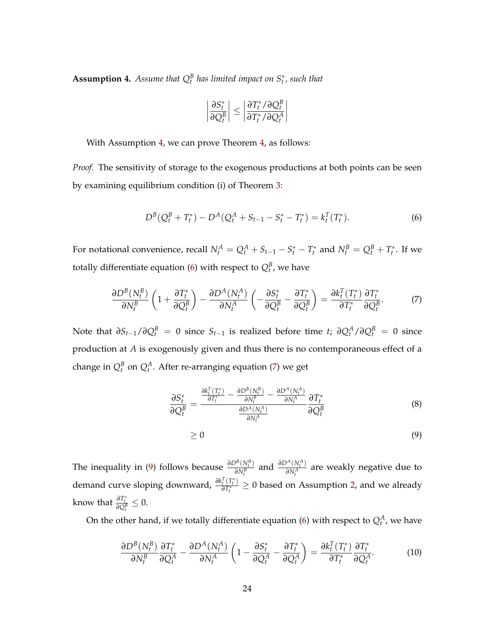**Assumption 4.** Assume that  $Q_t^B$  has limited impact on  $S_t^*$ , such that

$$
\left|\frac{\partial S_t^*}{\partial Q_t^B}\right| \le \left|\frac{\partial T_t^* / \partial Q_t^B}{\partial T_t^* / \partial Q_t^A}\right|
$$

With Assumption 4, we can prove Theorem 4, as follows:

*Proof.* The sensitivity of storage to the exogenous productions at both points can be seen by examining equilibrium condition (i) of Theorem 3:

$$
D^{B}(Q_{t}^{B} + T_{t}^{*}) - D^{A}(Q_{t}^{A} + S_{t-1} - S_{t}^{*} - T_{t}^{*}) = k_{t}^{T}(T_{t}^{*}).
$$
\n(6)

For notational convenience, recall  $N_t^A = Q_t^A + S_{t-1} - S_t^* - T_t^*$  and  $N_t^B = Q_t^B + T_t^*$ . If we totally differentiate equation (6) with respect to  $Q_t^B$ , we have

$$
\frac{\partial D^{B}(N_{t}^{B})}{\partial N_{t}^{B}}\left(1+\frac{\partial T_{t}^{*}}{\partial Q_{t}^{B}}\right)-\frac{\partial D^{A}(N_{t}^{A})}{\partial N_{t}^{A}}\left(-\frac{\partial S_{t}^{*}}{\partial Q_{t}^{B}}-\frac{\partial T_{t}^{*}}{\partial Q_{t}^{B}}\right)=\frac{\partial k_{t}^{T}(T_{t}^{*})}{\partial T_{t}^{*}}\frac{\partial T_{t}^{*}}{\partial Q_{t}^{B}}.\tag{7}
$$

 $\Delta$  Note that  $\partial S_{t-1}/\partial Q_t^B = 0$  since  $S_{t-1}$  is realized before time *t*;  $\partial Q_t^A/\partial Q_t^B = 0$  since production at *A* is exogenously given and thus there is no contemporaneous effect of a change in  $Q_t^B$  on  $Q_t^A$ . After re-arranging equation (7) we get

$$
\frac{\partial S_t^*}{\partial Q_t^B} = \frac{\frac{\partial k_t^T (T_t^*)}{\partial T_t^*} - \frac{\partial D^B (N_t^B)}{\partial N_t^B} - \frac{\partial D^A (N_t^A)}{\partial N_t^A}}{\frac{\partial D^A (N_t^A)}{\partial N_t^A}} \frac{\partial T_t^*}{\partial Q_t^B}
$$
\n
$$
\geq 0
$$
\n(9)

The inequality in (9) follows because  $\frac{\partial D^B(N_t^B)}{\partial N^B}$  $\frac{\partial^B(N_t^B)}{\partial N_t^B}$  and  $\frac{\partial D^A(N_t^A)}{\partial N_t^A}$  $\frac{V(N_t)}{\partial N_t^A}$  are weakly negative due to demand curve sloping downward,  $\frac{\partial k_i^T(T_i^*)}{\partial T_i^*}$  $\frac{\partial f(t)}{\partial T_t^*}$  ≥ 0 based on Assumption 2, and we already

know that  $\frac{\partial T_t^*}{\partial Q_t^B} \leq 0$ .

On the other hand, if we totally differentiate equation (6) with respect to  $Q_t^A$ , we have

$$
\frac{\partial D^{B}(N_{t}^{B})}{\partial N_{t}^{B}}\frac{\partial T_{t}^{*}}{\partial Q_{t}^{A}} - \frac{\partial D^{A}(N_{t}^{A})}{\partial N_{t}^{A}}\left(1 - \frac{\partial S_{t}^{*}}{\partial Q_{t}^{A}} - \frac{\partial T_{t}^{*}}{\partial Q_{t}^{A}}\right) = \frac{\partial k_{t}^{T}(T_{t}^{*})}{\partial T_{t}^{*}}\frac{\partial T_{t}^{*}}{\partial Q_{t}^{A}}.
$$
(10)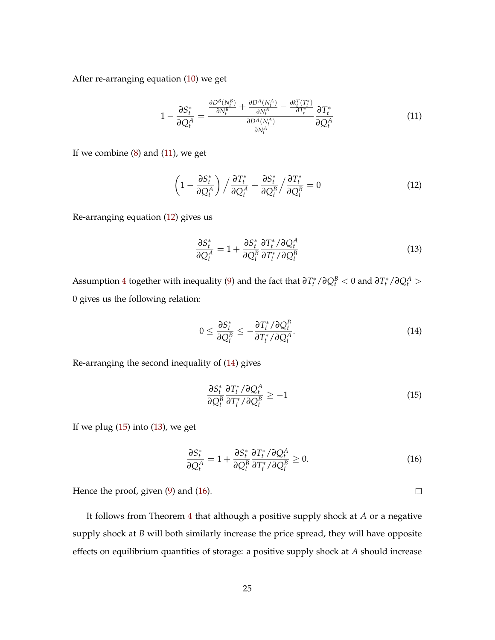After re-arranging equation (10) we get

$$
1 - \frac{\partial S_t^*}{\partial Q_t^A} = \frac{\frac{\partial D^B(N_t^B)}{\partial N_t^B} + \frac{\partial D^A(N_t^A)}{\partial N_t^A} - \frac{\partial k_t^T(T_t^*)}{\partial T_t^*}}{\frac{\partial D^A(N_t^A)}{\partial N_t^A}} \frac{\partial T_t^*}{\partial Q_t^A}
$$
(11)

If we combine  $(8)$  and  $(11)$ , we get

$$
\left(1 - \frac{\partial S_t^*}{\partial Q_t^A}\right) / \frac{\partial T_t^*}{\partial Q_t^A} + \frac{\partial S_t^*}{\partial Q_t^B} / \frac{\partial T_t^*}{\partial Q_t^B} = 0
$$
\n(12)

Re-arranging equation (12) gives us

$$
\frac{\partial S_t^*}{\partial Q_t^A} = 1 + \frac{\partial S_t^*}{\partial Q_t^B} \frac{\partial T_t^* / \partial Q_t^A}{\partial T_t^* / \partial Q_t^B}
$$
(13)

Assumption 4 together with inequality (9) and the fact that  $\frac{\partial T_t^*}{\partial Q_t^B} < 0$  and  $\frac{\partial T_t^*}{\partial Q_t^A} > 0$ 0 gives us the following relation:

$$
0 \leq \frac{\partial S_t^*}{\partial Q_t^B} \leq -\frac{\partial T_t^* / \partial Q_t^B}{\partial T_t^* / \partial Q_t^A}.
$$
\n(14)

Re-arranging the second inequality of (14) gives

$$
\frac{\partial S_t^*}{\partial Q_t^B} \frac{\partial T_t^* / \partial Q_t^A}{\partial T_t^* / \partial Q_t^B} \ge -1
$$
\n(15)

If we plug  $(15)$  into  $(13)$ , we get

$$
\frac{\partial S_t^*}{\partial Q_t^A} = 1 + \frac{\partial S_t^*}{\partial Q_t^B} \frac{\partial T_t^* / \partial Q_t^A}{\partial T_t^* / \partial Q_t^B} \ge 0.
$$
\n(16)

Hence the proof, given (9) and (16).

It follows from Theorem 4 that although a positive supply shock at *A* or a negative supply shock at *B* will both similarly increase the price spread, they will have opposite effects on equilibrium quantities of storage: a positive supply shock at *A* should increase

 $\Box$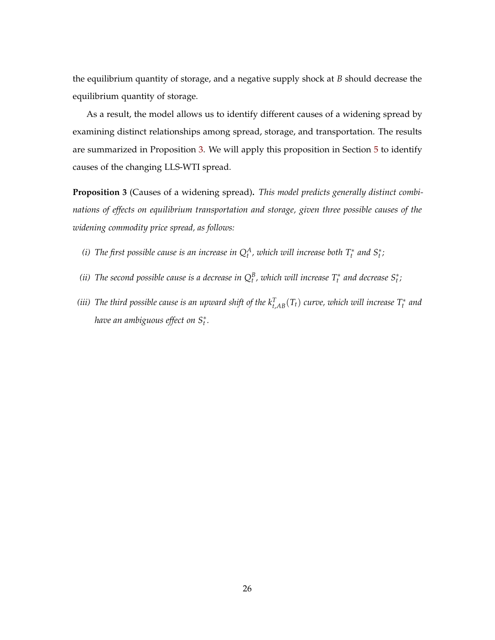the equilibrium quantity of storage, and a negative supply shock at *B* should decrease the equilibrium quantity of storage.

As a result, the model allows us to identify different causes of a widening spread by examining distinct relationships among spread, storage, and transportation. The results are summarized in Proposition 3. We will apply this proposition in Section 5 to identify causes of the changing LLS-WTI spread.

**Proposition 3** (Causes of a widening spread)**.** *This model predicts generally distinct combinations of effects on equilibrium transportation and storage, given three possible causes of the widening commodity price spread, as follows:*

- *(i)* The first possible cause is an increase in  $Q_t^A$ , which will increase both  $T_t^*$  and  $S_t^*$ ;
- *(ii)* The second possible cause is a decrease in  $Q_t^B$ , which will increase  $T_t^*$  and decrease  $S_t^*$ ;
- *(iii)* The third possible cause is an upward shift of the  $k_{t,AB}^T(T_t)$  curve, which will increase  $T_t^*$  and *have an ambiguous effect on S*<sup>∗</sup> *t .*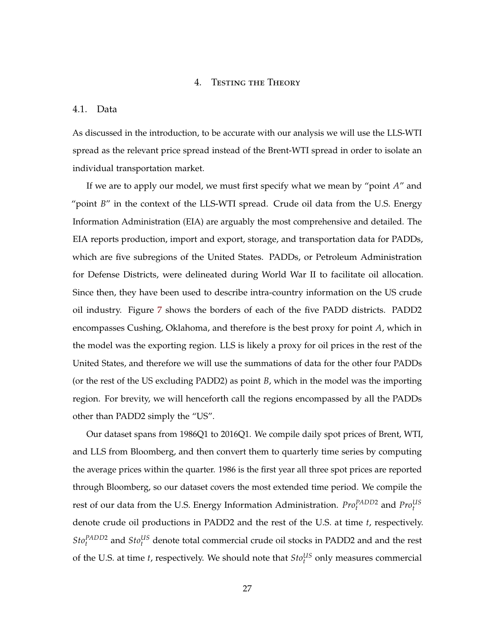# 4. Testing the Theory

#### 4.1. Data

As discussed in the introduction, to be accurate with our analysis we will use the LLS-WTI spread as the relevant price spread instead of the Brent-WTI spread in order to isolate an individual transportation market.

If we are to apply our model, we must first specify what we mean by "point *A*" and "point *B*" in the context of the LLS-WTI spread. Crude oil data from the U.S. Energy Information Administration (EIA) are arguably the most comprehensive and detailed. The EIA reports production, import and export, storage, and transportation data for PADDs, which are five subregions of the United States. PADDs, or Petroleum Administration for Defense Districts, were delineated during World War II to facilitate oil allocation. Since then, they have been used to describe intra-country information on the US crude oil industry. Figure 7 shows the borders of each of the five PADD districts. PADD2 encompasses Cushing, Oklahoma, and therefore is the best proxy for point *A*, which in the model was the exporting region. LLS is likely a proxy for oil prices in the rest of the United States, and therefore we will use the summations of data for the other four PADDs (or the rest of the US excluding PADD2) as point *B*, which in the model was the importing region. For brevity, we will henceforth call the regions encompassed by all the PADDs other than PADD2 simply the "US".

Our dataset spans from 1986Q1 to 2016Q1. We compile daily spot prices of Brent, WTI, and LLS from Bloomberg, and then convert them to quarterly time series by computing the average prices within the quarter. 1986 is the first year all three spot prices are reported through Bloomberg, so our dataset covers the most extended time period. We compile the rest of our data from the U.S. Energy Information Administration.  $Pro<sub>t</sub><sup>PADD2</sup>$  and  $Pro<sub>t</sub><sup>US</sup>$ denote crude oil productions in PADD2 and the rest of the U.S. at time *t*, respectively.  $Sto<sub>t</sub><sup>PADD2</sup>$  and  $Sto<sub>t</sub><sup>US</sup>$  denote total commercial crude oil stocks in PADD2 and and the rest of the U.S. at time *t*, respectively. We should note that  $Sto_t^{US}$  only measures commercial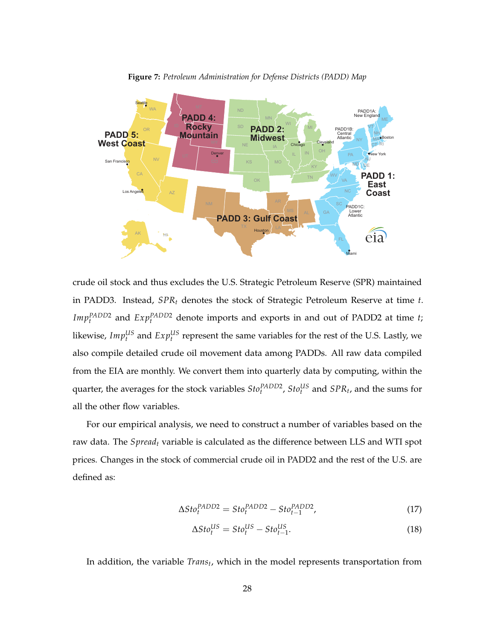

**Figure 7:** *Petroleum Administration for Defense Districts (PADD) Map*

crude oil stock and thus excludes the U.S. Strategic Petroleum Reserve (SPR) maintained in PADD3. Instead, *SPR<sup>t</sup>* denotes the stock of Strategic Petroleum Reserve at time *t*. *Imp*<sup>*PADD2*</sup> and *Exp*<sup>*PADD2*</sup> denote imports and exports in and out of PADD2 at time *t*; likewise,  $Imp_t^{US}$  and  $Exp_t^{US}$  represent the same variables for the rest of the U.S. Lastly, we also compile detailed crude oil movement data among PADDs. All raw data compiled from the EIA are monthly. We convert them into quarterly data by computing, within the quarter, the averages for the stock variables  $Sto_t^{PADD2}$ ,  $Sto_t^{US}$  and  $SPR_t$ , and the sums for all the other flow variables.

For our empirical analysis, we need to construct a number of variables based on the raw data. The *Spread<sup>t</sup>* variable is calculated as the difference between LLS and WTI spot prices. Changes in the stock of commercial crude oil in PADD2 and the rest of the U.S. are defined as:

$$
\Delta Sto_t^{PADD2} = Sto_t^{PADD2} - Sto_{t-1}^{PADD2},\tag{17}
$$

$$
\Delta Sto_t^{US} = Sto_t^{US} - Sto_{t-1}^{US}.
$$
\n(18)

In addition, the variable *Trans<sup>t</sup>* , which in the model represents transportation from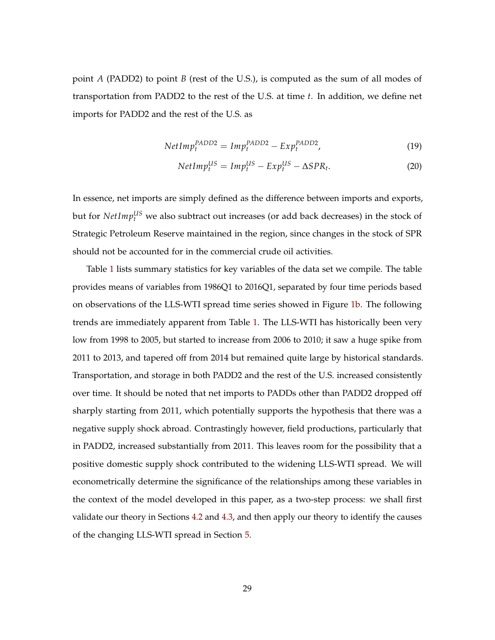point *A* (PADD2) to point *B* (rest of the U.S.), is computed as the sum of all modes of transportation from PADD2 to the rest of the U.S. at time *t*. In addition, we define net imports for PADD2 and the rest of the U.S. as

$$
NetImp_t^{PADD2} = Imp_t^{PADD2} - Exp_t^{PADD2},
$$
\n(19)

$$
NetImp_t^{US} = Imp_t^{US} - Exp_t^{US} - \Delta SPR_t.
$$
 (20)

In essence, net imports are simply defined as the difference between imports and exports, but for *NetImp<sup>US</sup>* we also subtract out increases (or add back decreases) in the stock of Strategic Petroleum Reserve maintained in the region, since changes in the stock of SPR should not be accounted for in the commercial crude oil activities.

Table 1 lists summary statistics for key variables of the data set we compile. The table provides means of variables from 1986Q1 to 2016Q1, separated by four time periods based on observations of the LLS-WTI spread time series showed in Figure 1b. The following trends are immediately apparent from Table 1. The LLS-WTI has historically been very low from 1998 to 2005, but started to increase from 2006 to 2010; it saw a huge spike from 2011 to 2013, and tapered off from 2014 but remained quite large by historical standards. Transportation, and storage in both PADD2 and the rest of the U.S. increased consistently over time. It should be noted that net imports to PADDs other than PADD2 dropped off sharply starting from 2011, which potentially supports the hypothesis that there was a negative supply shock abroad. Contrastingly however, field productions, particularly that in PADD2, increased substantially from 2011. This leaves room for the possibility that a positive domestic supply shock contributed to the widening LLS-WTI spread. We will econometrically determine the significance of the relationships among these variables in the context of the model developed in this paper, as a two-step process: we shall first validate our theory in Sections 4.2 and 4.3, and then apply our theory to identify the causes of the changing LLS-WTI spread in Section 5.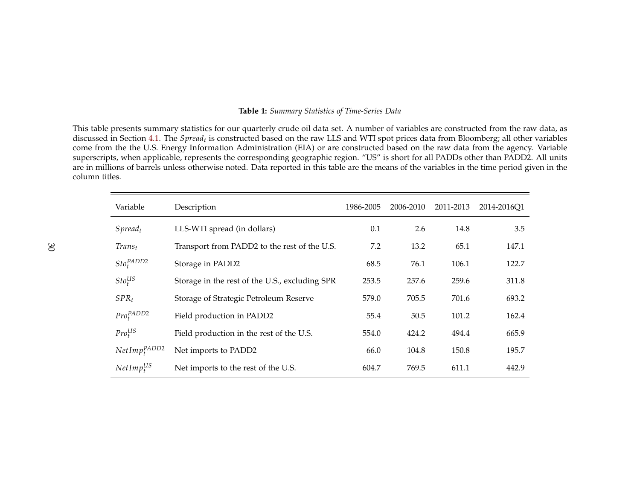#### **Table 1:** *Summary Statistics of Time-Series Data*

This table presents summary statistics for our quarterly crude oil data set. A number of variables are constructed from the raw data, as discussed in Section 4.1. The *Spread<sup>t</sup>* is constructed based on the raw LLS and WTI spot prices data from Bloomberg; all other variables come from the the U.S. Energy Information Administration (EIA) or are constructed based on the raw data from the agency. Variable superscripts, when applicable, represents the corresponding geographic region. "US" is short for all PADDs other than PADD2. All units are in millions of barrels unless otherwise noted. Data reported in this table are the means of the variables in the time period given in the column titles.

| Variable                       | Description                                    | 1986-2005 | 2006-2010 | 2011-2013 | 2014-201601 |
|--------------------------------|------------------------------------------------|-----------|-----------|-----------|-------------|
| $S$ <i>pread</i> <sub>t</sub>  | LLS-WTI spread (in dollars)                    | 0.1       | 2.6       | 14.8      | 3.5         |
| Trans <sub>t</sub>             | Transport from PADD2 to the rest of the U.S.   | 7.2       | 13.2      | 65.1      | 147.1       |
| $Sto_t^{PADD2}$                | Storage in PADD2                               | 68.5      | 76.1      | 106.1     | 122.7       |
| $Sto_t^{US}$                   | Storage in the rest of the U.S., excluding SPR | 253.5     | 257.6     | 259.6     | 311.8       |
| $SPR_t$                        | Storage of Strategic Petroleum Reserve         | 579.0     | 705.5     | 701.6     | 693.2       |
| $Pro_{t}^{PADD2}$              | Field production in PADD2                      | 55.4      | 50.5      | 101.2     | 162.4       |
| Pro <sub>t</sub> <sup>US</sup> | Field production in the rest of the U.S.       | 554.0     | 424.2     | 494.4     | 665.9       |
| $NetImp_{t}^{PADD2}$           | Net imports to PADD2                           | 66.0      | 104.8     | 150.8     | 195.7       |
| $NetImp_t^{US}$                | Net imports to the rest of the U.S.            | 604.7     | 769.5     | 611.1     | 442.9       |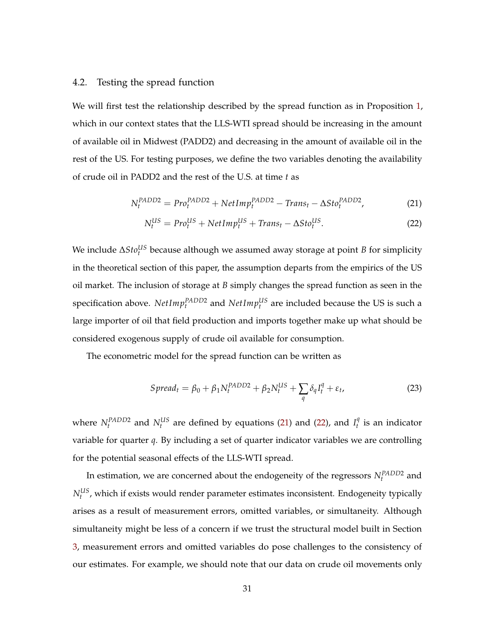# 4.2. Testing the spread function

We will first test the relationship described by the spread function as in Proposition 1, which in our context states that the LLS-WTI spread should be increasing in the amount of available oil in Midwest (PADD2) and decreasing in the amount of available oil in the rest of the US. For testing purposes, we define the two variables denoting the availability of crude oil in PADD2 and the rest of the U.S. at time *t* as

$$
N_t^{PADD2} = Pro_t^{PADD2} + NetImp_t^{PADD2} - Trans_t - \Delta Sto_t^{PADD2},\tag{21}
$$

$$
N_t^{US} = Pro_t^{US} + NetImp_t^{US} + Trans_t - \Delta Sto_t^{US}.
$$
 (22)

We include ∆*Sto<sup>lIS</sup>* because although we assumed away storage at point *B* for simplicity in the theoretical section of this paper, the assumption departs from the empirics of the US oil market. The inclusion of storage at *B* simply changes the spread function as seen in the specification above.  $NetImp_t^{PADD2}$  and  $NetImp_t^{US}$  are included because the US is such a large importer of oil that field production and imports together make up what should be considered exogenous supply of crude oil available for consumption.

The econometric model for the spread function can be written as

$$
S\text{pread}_t = \beta_0 + \beta_1 N_t^{PADD2} + \beta_2 N_t^{US} + \sum_q \delta_q I_t^q + \varepsilon_t,\tag{23}
$$

where  $N_t^{PADD2}$  and  $N_t^{US}$  are defined by equations (21) and (22), and  $I_t^q$  $t<sub>t</sub><sup>4</sup>$  is an indicator variable for quarter *q*. By including a set of quarter indicator variables we are controlling for the potential seasonal effects of the LLS-WTI spread.

In estimation, we are concerned about the endogeneity of the regressors  $N_t^{PADD2}$  and  $N_t^{US}$ , which if exists would render parameter estimates inconsistent. Endogeneity typically arises as a result of measurement errors, omitted variables, or simultaneity. Although simultaneity might be less of a concern if we trust the structural model built in Section 3, measurement errors and omitted variables do pose challenges to the consistency of our estimates. For example, we should note that our data on crude oil movements only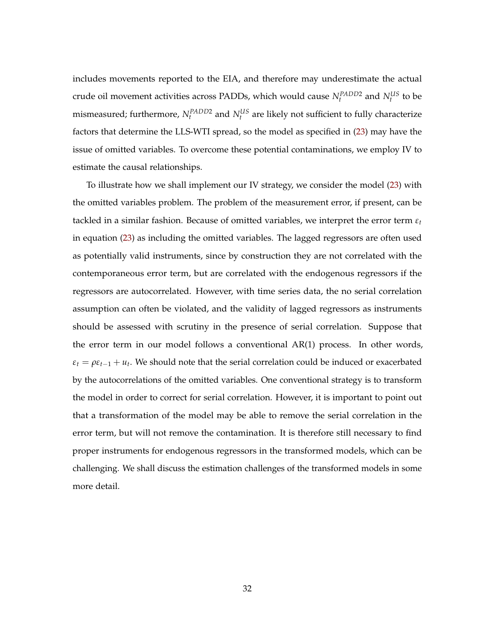includes movements reported to the EIA, and therefore may underestimate the actual crude oil movement activities across PADDs, which would cause  $N_t^{PADD2}$  and  $N_t^{US}$  to be mismeasured; furthermore,  $N_t^{PADD2}$  and  $N_t^{US}$  are likely not sufficient to fully characterize factors that determine the LLS-WTI spread, so the model as specified in (23) may have the issue of omitted variables. To overcome these potential contaminations, we employ IV to estimate the causal relationships.

To illustrate how we shall implement our IV strategy, we consider the model (23) with the omitted variables problem. The problem of the measurement error, if present, can be tackled in a similar fashion. Because of omitted variables, we interpret the error term *ε<sup>t</sup>* in equation (23) as including the omitted variables. The lagged regressors are often used as potentially valid instruments, since by construction they are not correlated with the contemporaneous error term, but are correlated with the endogenous regressors if the regressors are autocorrelated. However, with time series data, the no serial correlation assumption can often be violated, and the validity of lagged regressors as instruments should be assessed with scrutiny in the presence of serial correlation. Suppose that the error term in our model follows a conventional AR(1) process. In other words,  $\varepsilon_t = \rho \varepsilon_{t-1} + u_t$ . We should note that the serial correlation could be induced or exacerbated by the autocorrelations of the omitted variables. One conventional strategy is to transform the model in order to correct for serial correlation. However, it is important to point out that a transformation of the model may be able to remove the serial correlation in the error term, but will not remove the contamination. It is therefore still necessary to find proper instruments for endogenous regressors in the transformed models, which can be challenging. We shall discuss the estimation challenges of the transformed models in some more detail.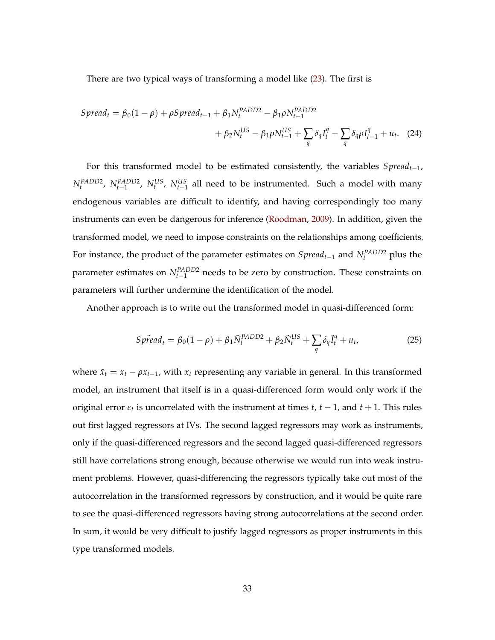There are two typical ways of transforming a model like (23). The first is

$$
S\text{pread}_{t} = \beta_{0}(1-\rho) + \rho S\text{pread}_{t-1} + \beta_{1} N_{t}^{PADD2} - \beta_{1}\rho N_{t-1}^{PADD2} + \beta_{2} N_{t}^{US} - \beta_{1}\rho N_{t-1}^{US} + \sum_{q} \delta_{q} I_{t}^{q} - \sum_{q} \delta_{q} \rho I_{t-1}^{q} + u_{t}. \quad (24)
$$

For this transformed model to be estimated consistently, the variables *Spreadt*−1,  $N_t^{PADD2}$ ,  $N_{t-1}^{PADD2}$ ,  $N_t^{US}$ ,  $N_{t-1}^{US}$  all need to be instrumented. Such a model with many endogenous variables are difficult to identify, and having correspondingly too many instruments can even be dangerous for inference (Roodman, 2009). In addition, given the transformed model, we need to impose constraints on the relationships among coefficients. For instance, the product of the parameter estimates on *Spreadt*−<sup>1</sup> and *NPADD*<sup>2</sup> *<sup>t</sup>* plus the parameter estimates on  $N_{t-1}^{PADD2}$  needs to be zero by construction. These constraints on parameters will further undermine the identification of the model.

Another approach is to write out the transformed model in quasi-differenced form:

$$
Sp\tilde{r}ed_t = \beta_0(1-\rho) + \beta_1 \tilde{N}_t^{PADD2} + \beta_2 \tilde{N}_t^{US} + \sum_q \delta_q \tilde{I}_t^q + u_t,
$$
\n(25)

where  $\tilde{x}_t = x_t - \rho x_{t-1}$ , with  $x_t$  representing any variable in general. In this transformed model, an instrument that itself is in a quasi-differenced form would only work if the original error  $\varepsilon_t$  is uncorrelated with the instrument at times *t*, *t* − 1, and *t* + 1. This rules out first lagged regressors at IVs. The second lagged regressors may work as instruments, only if the quasi-differenced regressors and the second lagged quasi-differenced regressors still have correlations strong enough, because otherwise we would run into weak instrument problems. However, quasi-differencing the regressors typically take out most of the autocorrelation in the transformed regressors by construction, and it would be quite rare to see the quasi-differenced regressors having strong autocorrelations at the second order. In sum, it would be very difficult to justify lagged regressors as proper instruments in this type transformed models.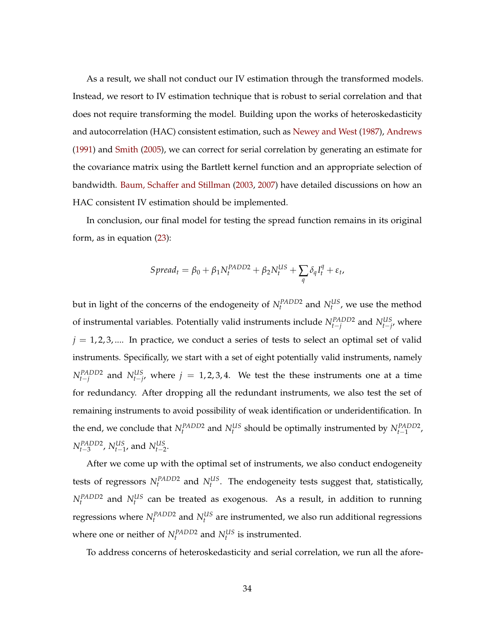As a result, we shall not conduct our IV estimation through the transformed models. Instead, we resort to IV estimation technique that is robust to serial correlation and that does not require transforming the model. Building upon the works of heteroskedasticity and autocorrelation (HAC) consistent estimation, such as Newey and West (1987), Andrews (1991) and Smith (2005), we can correct for serial correlation by generating an estimate for the covariance matrix using the Bartlett kernel function and an appropriate selection of bandwidth. Baum, Schaffer and Stillman (2003, 2007) have detailed discussions on how an HAC consistent IV estimation should be implemented.

In conclusion, our final model for testing the spread function remains in its original form, as in equation (23):

$$
S\text{pread}_t = \beta_0 + \beta_1 N_t^{PADD2} + \beta_2 N_t^{US} + \sum_q \delta_q I_t^q + \varepsilon_t,
$$

but in light of the concerns of the endogeneity of  $N_t^{PADD2}$  and  $N_t^{US}$ , we use the method of instrumental variables. Potentially valid instruments include  $N_{t-j}^{PADD2}$  and  $N_{t-j}^{US}$ , where  $j = 1, 2, 3, \dots$  In practice, we conduct a series of tests to select an optimal set of valid instruments. Specifically, we start with a set of eight potentially valid instruments, namely  $N_{t-j}^{PADD2}$  and  $N_{t-j}^{US}$ , where  $j = 1, 2, 3, 4$ . We test the these instruments one at a time for redundancy. After dropping all the redundant instruments, we also test the set of remaining instruments to avoid possibility of weak identification or underidentification. In the end, we conclude that  $N_t^{PADD2}$  and  $N_t^{US}$  should be optimally instrumented by  $N_{t-1}^{PADD2}$ ,  $N_{t-3}^{PADD2}$ ,  $N_{t-1}^{US}$ , and  $N_{t-2}^{US}$ .

After we come up with the optimal set of instruments, we also conduct endogeneity tests of regressors  $N_t^{PADD2}$  and  $N_t^{US}$ . The endogeneity tests suggest that, statistically,  $N_t^{PADD2}$  and  $N_t^{US}$  can be treated as exogenous. As a result, in addition to running regressions where  $N_t^{PADD2}$  and  $N_t^{US}$  are instrumented, we also run additional regressions where one or neither of  $N_t^{PADD2}$  and  $N_t^{US}$  is instrumented.

To address concerns of heteroskedasticity and serial correlation, we run all the afore-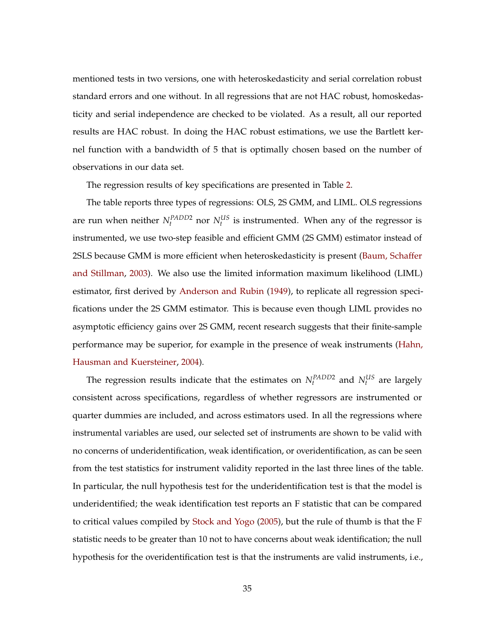mentioned tests in two versions, one with heteroskedasticity and serial correlation robust standard errors and one without. In all regressions that are not HAC robust, homoskedasticity and serial independence are checked to be violated. As a result, all our reported results are HAC robust. In doing the HAC robust estimations, we use the Bartlett kernel function with a bandwidth of 5 that is optimally chosen based on the number of observations in our data set.

The regression results of key specifications are presented in Table 2.

The table reports three types of regressions: OLS, 2S GMM, and LIML. OLS regressions are run when neither  $N_t^{PADD2}$  nor  $N_t^{US}$  is instrumented. When any of the regressor is instrumented, we use two-step feasible and efficient GMM (2S GMM) estimator instead of 2SLS because GMM is more efficient when heteroskedasticity is present (Baum, Schaffer and Stillman, 2003). We also use the limited information maximum likelihood (LIML) estimator, first derived by Anderson and Rubin (1949), to replicate all regression specifications under the 2S GMM estimator. This is because even though LIML provides no asymptotic efficiency gains over 2S GMM, recent research suggests that their finite-sample performance may be superior, for example in the presence of weak instruments (Hahn, Hausman and Kuersteiner, 2004).

The regression results indicate that the estimates on  $N_t^{PADD2}$  and  $N_t^{US}$  are largely consistent across specifications, regardless of whether regressors are instrumented or quarter dummies are included, and across estimators used. In all the regressions where instrumental variables are used, our selected set of instruments are shown to be valid with no concerns of underidentification, weak identification, or overidentification, as can be seen from the test statistics for instrument validity reported in the last three lines of the table. In particular, the null hypothesis test for the underidentification test is that the model is underidentified; the weak identification test reports an F statistic that can be compared to critical values compiled by Stock and Yogo (2005), but the rule of thumb is that the F statistic needs to be greater than 10 not to have concerns about weak identification; the null hypothesis for the overidentification test is that the instruments are valid instruments, i.e.,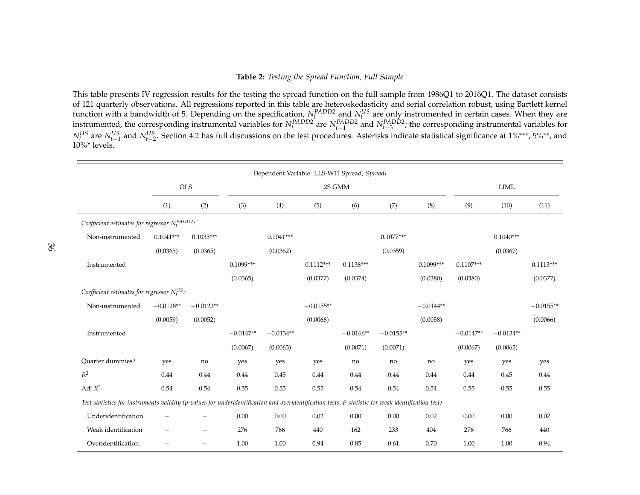#### **Table 2:** *Testing the Spread Function, Full Sample*

This table presents IV regression results for the testing the spread function on the full sample from 1986Q1 to 2016Q1. The dataset consists of 121 quarterly observations. All regressions reported in this table are heteroskedasticity and serial correlation robust, using Bartlett kernel function with a bandwidth of 5. Depending on the specification,  $N_t^{PADD2}$  and  $N_t^{US}$  are only instrumented in certain cases. When they are instrumented, the corresponding instrumental variables for  $N_t^{PADD2}$  are  $N_{t-1}^{PADD2}$  and  $N_{t-3}^{PADD2}$ ; the corresponding instrumental variables for *N*<sup>US</sup> are *N*<sup>US</sup><sub>*t*−1</sub> and *N*<sup>US</sup><sub>*t*−2</sub>. Section 4.2 has full discussions on the test procedures. Asterisks indicate statistical significance at 1%\*\*\*, 5%\*\*, and  $10\%$ \* levels.

|                                                                                                                                                    | Dependent Variable: LLS-WTI Spread, Spread <sub>t</sub> |             |             |             |             |             |             |             |             |             |             |  |
|----------------------------------------------------------------------------------------------------------------------------------------------------|---------------------------------------------------------|-------------|-------------|-------------|-------------|-------------|-------------|-------------|-------------|-------------|-------------|--|
|                                                                                                                                                    |                                                         | <b>OLS</b>  | 2S GMM      |             |             |             |             |             |             | <b>LIML</b> |             |  |
|                                                                                                                                                    | (1)                                                     | (2)         | (3)         | (4)         | (5)         | (6)         | (7)         | (8)         | (9)         | (10)        | (11)        |  |
| Coefficient estimates for regressor $N_t^{PADD2}$ .                                                                                                |                                                         |             |             |             |             |             |             |             |             |             |             |  |
| Non-instrumented                                                                                                                                   | $0.1041***$                                             | $0.1033***$ |             | $0.1041***$ |             |             | $0.1077***$ |             |             | $0.1040***$ |             |  |
|                                                                                                                                                    | (0.0365)                                                | (0.0365)    |             | (0.0362)    |             |             | (0.0359)    |             |             | (0.0367)    |             |  |
| Instrumented                                                                                                                                       |                                                         |             | $0.1099***$ |             | $0.1112***$ | $0.1138***$ |             | $0.1099***$ | $0.1107***$ |             | $0.1113***$ |  |
|                                                                                                                                                    |                                                         |             | (0.0365)    |             | (0.0377)    | (0.0374)    |             | (0.0380)    | (0.0380)    |             | (0.0377)    |  |
| Coefficient estimates for regressor $N_t^{US}$ :                                                                                                   |                                                         |             |             |             |             |             |             |             |             |             |             |  |
| Non-instrumented                                                                                                                                   | $-0.0128**$                                             | $-0.0123**$ |             |             | $-0.0155**$ |             |             | $-0.0144**$ |             |             | $-0.0155**$ |  |
|                                                                                                                                                    | (0.0059)                                                | (0.0052)    |             |             | (0.0066)    |             |             | (0.0058)    |             |             | (0.0066)    |  |
| Instrumented                                                                                                                                       |                                                         |             | $-0.0147**$ | $-0.0134**$ |             | $-0.0166**$ | $-0.0155**$ |             | $-0.0147**$ | $-0.0134**$ |             |  |
|                                                                                                                                                    |                                                         |             | (0.0067)    | (0.0063)    |             | (0.0071)    | (0.0071)    |             | (0.0067)    | (0.0065)    |             |  |
| <b>Ouarter dummies?</b>                                                                                                                            | yes                                                     | no          | yes         | yes         | yes         | no          | no          | no          | yes         | yes         | yes         |  |
| $R^2$                                                                                                                                              | 0.44                                                    | 0.44        | 0.44        | 0.45        | 0.44        | 0.44        | 0.44        | 0.44        | 0.44        | 0.45        | 0.44        |  |
| Adj $R^2$                                                                                                                                          | 0.54                                                    | 0.54        | 0.55        | 0.55        | 0.55        | 0.54        | 0.54        | 0.54        | 0.55        | 0.55        | 0.55        |  |
| Test statistics for instruments validity (p-values for underidentification and overidentification tests, F-statistic for weak identification test) |                                                         |             |             |             |             |             |             |             |             |             |             |  |
| Underidentification                                                                                                                                |                                                         |             | 0.00        | 0.00        | 0.02        | $0.00\,$    | 0.00        | 0.02        | 0.00        | 0.00        | 0.02        |  |
| Weak identification                                                                                                                                |                                                         |             | 276         | 766         | 440         | 162         | 233         | 404         | 276         | 766         | 440         |  |
| Overidentification                                                                                                                                 |                                                         |             | 1.00        | 1.00        | 0.94        | 0.85        | 0.61        | 0.70        | 1.00        | 1.00        | 0.94        |  |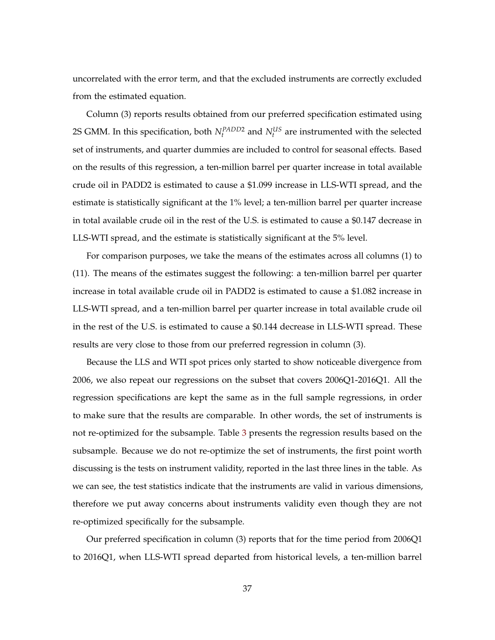uncorrelated with the error term, and that the excluded instruments are correctly excluded from the estimated equation.

Column (3) reports results obtained from our preferred specification estimated using 2S GMM. In this specification, both  $N_t^{PADD2}$  and  $N_t^{US}$  are instrumented with the selected set of instruments, and quarter dummies are included to control for seasonal effects. Based on the results of this regression, a ten-million barrel per quarter increase in total available crude oil in PADD2 is estimated to cause a \$1.099 increase in LLS-WTI spread, and the estimate is statistically significant at the 1% level; a ten-million barrel per quarter increase in total available crude oil in the rest of the U.S. is estimated to cause a \$0.147 decrease in LLS-WTI spread, and the estimate is statistically significant at the 5% level.

For comparison purposes, we take the means of the estimates across all columns (1) to (11). The means of the estimates suggest the following: a ten-million barrel per quarter increase in total available crude oil in PADD2 is estimated to cause a \$1.082 increase in LLS-WTI spread, and a ten-million barrel per quarter increase in total available crude oil in the rest of the U.S. is estimated to cause a \$0.144 decrease in LLS-WTI spread. These results are very close to those from our preferred regression in column (3).

Because the LLS and WTI spot prices only started to show noticeable divergence from 2006, we also repeat our regressions on the subset that covers 2006Q1-2016Q1. All the regression specifications are kept the same as in the full sample regressions, in order to make sure that the results are comparable. In other words, the set of instruments is not re-optimized for the subsample. Table 3 presents the regression results based on the subsample. Because we do not re-optimize the set of instruments, the first point worth discussing is the tests on instrument validity, reported in the last three lines in the table. As we can see, the test statistics indicate that the instruments are valid in various dimensions, therefore we put away concerns about instruments validity even though they are not re-optimized specifically for the subsample.

Our preferred specification in column (3) reports that for the time period from 2006Q1 to 2016Q1, when LLS-WTI spread departed from historical levels, a ten-million barrel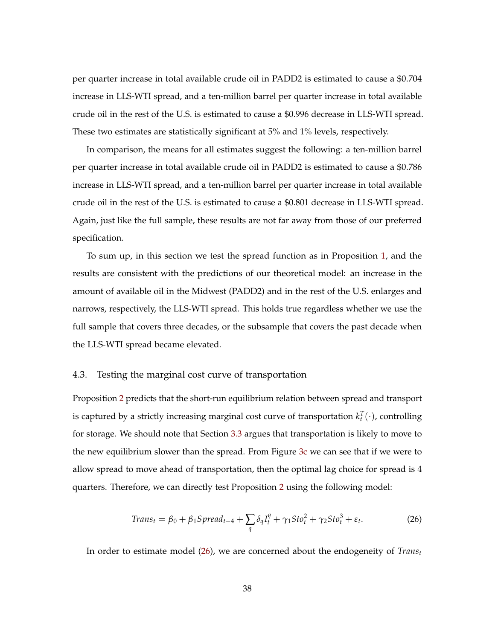per quarter increase in total available crude oil in PADD2 is estimated to cause a \$0.704 increase in LLS-WTI spread, and a ten-million barrel per quarter increase in total available crude oil in the rest of the U.S. is estimated to cause a \$0.996 decrease in LLS-WTI spread. These two estimates are statistically significant at 5% and 1% levels, respectively.

In comparison, the means for all estimates suggest the following: a ten-million barrel per quarter increase in total available crude oil in PADD2 is estimated to cause a \$0.786 increase in LLS-WTI spread, and a ten-million barrel per quarter increase in total available crude oil in the rest of the U.S. is estimated to cause a \$0.801 decrease in LLS-WTI spread. Again, just like the full sample, these results are not far away from those of our preferred specification.

To sum up, in this section we test the spread function as in Proposition 1, and the results are consistent with the predictions of our theoretical model: an increase in the amount of available oil in the Midwest (PADD2) and in the rest of the U.S. enlarges and narrows, respectively, the LLS-WTI spread. This holds true regardless whether we use the full sample that covers three decades, or the subsample that covers the past decade when the LLS-WTI spread became elevated.

#### 4.3. Testing the marginal cost curve of transportation

Proposition 2 predicts that the short-run equilibrium relation between spread and transport is captured by a strictly increasing marginal cost curve of transportation  $k_t^T(\cdot)$ , controlling for storage. We should note that Section 3.3 argues that transportation is likely to move to the new equilibrium slower than the spread. From Figure 3c we can see that if we were to allow spread to move ahead of transportation, then the optimal lag choice for spread is 4 quarters. Therefore, we can directly test Proposition 2 using the following model:

$$
Trans_t = \beta_0 + \beta_1 Spread_{t-4} + \sum_{q} \delta_q I_t^q + \gamma_1 Sto_t^2 + \gamma_2 Sto_t^3 + \varepsilon_t.
$$
 (26)

In order to estimate model (26), we are concerned about the endogeneity of *Trans<sup>t</sup>*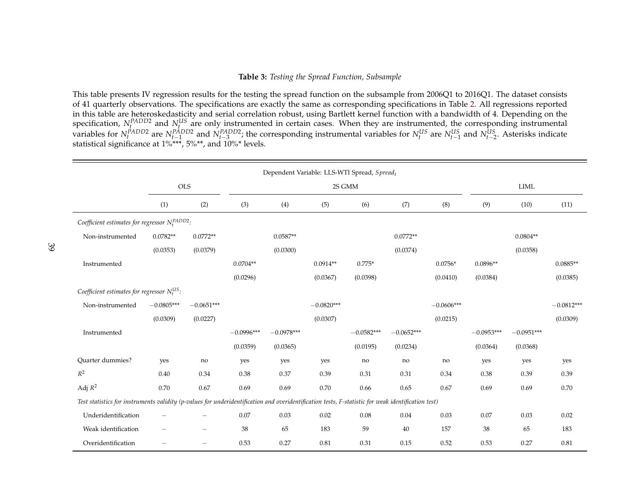#### **Table 3:** *Testing the Spread Function, Subsample*

This table presents IV regression results for the testing the spread function on the subsample from 2006Q1 to 2016Q1. The dataset consists of 41 quarterly observations. The specifications are exactly the same as corresponding specifications in Table 2. All regressions reported in this table are heteroskedasticity and serial correlation robust, using Bartlett kernel function with a bandwidth of 4. Depending on the specification,  $N_f^{PADD2}$  and  $N_f^{US}$  are only instrumented in certain cases. When they are instrumented, the corresponding instrumental variables for  $N_t^{PADD2}$  are  $N_{t-1}^{PADD2}$  and  $N_{t-3}^{PADD2}$ ; the corresponding instrumental variables for  $N_t^{US}$  are  $N_{t-1}^{US}$  and  $N_{t-2}^{US}$ . Asterisks indicate statistical significance at 1%\*\*\*, 5%\*\*, and 10%\* levels.

| Dependent Variable: LLS-WTI Spread, Spreadt                                                                                                        |              |                          |               |                     |              |              |              |              |              |              |              |
|----------------------------------------------------------------------------------------------------------------------------------------------------|--------------|--------------------------|---------------|---------------------|--------------|--------------|--------------|--------------|--------------|--------------|--------------|
|                                                                                                                                                    | <b>OLS</b>   |                          | $2S$ GMM $\,$ |                     |              |              |              |              | LIML         |              |              |
|                                                                                                                                                    | (1)          | (2)                      | (3)           | (4)                 | (5)          | (6)          | (7)          | (8)          | (9)          | (10)         | (11)         |
| Coefficient estimates for regressor $N_t^{PADD2}$ .                                                                                                |              |                          |               |                     |              |              |              |              |              |              |              |
| Non-instrumented                                                                                                                                   | $0.0782**$   | $0.0772**$               |               | $0.0587^{\ast\ast}$ |              |              | $0.0772**$   |              |              | $0.0804**$   |              |
|                                                                                                                                                    | (0.0353)     | (0.0379)                 |               | (0.0300)            |              |              | (0.0374)     |              |              | (0.0358)     |              |
| Instrumented                                                                                                                                       |              |                          | $0.0704**$    |                     | $0.0914**$   | $0.775*$     |              | $0.0756*$    | $0.0896**$   |              | $0.0885**$   |
|                                                                                                                                                    |              |                          | (0.0296)      |                     | (0.0367)     | (0.0398)     |              | (0.0410)     | (0.0384)     |              | (0.0385)     |
| Coefficient estimates for regressor $N_t^{US}$ .                                                                                                   |              |                          |               |                     |              |              |              |              |              |              |              |
| Non-instrumented                                                                                                                                   | $-0.0805***$ | $-0.0651***$             |               |                     | $-0.0820***$ |              |              | $-0.0606***$ |              |              | $-0.0812***$ |
|                                                                                                                                                    | (0.0309)     | (0.0227)                 |               |                     | (0.0307)     |              |              | (0.0215)     |              |              | (0.0309)     |
| Instrumented                                                                                                                                       |              |                          | $-0.0996***$  | $-0.0978***$        |              | $-0.0582***$ | $-0.0652***$ |              | $-0.0953***$ | $-0.0951***$ |              |
|                                                                                                                                                    |              |                          | (0.0359)      | (0.0365)            |              | (0.0195)     | (0.0234)     |              | (0.0364)     | (0.0368)     |              |
| Quarter dummies?                                                                                                                                   | yes          | no                       | yes           | yes                 | yes          | no           | no           | no           | yes          | yes          | yes          |
| $R^2$                                                                                                                                              | 0.40         | 0.34                     | 0.38          | 0.37                | 0.39         | 0.31         | 0.31         | 0.34         | 0.38         | 0.39         | 0.39         |
| Adj $R^2$                                                                                                                                          | $0.70\,$     | 0.67                     | 0.69          | 0.69                | 0.70         | 0.66         | 0.65         | 0.67         | 0.69         | 0.69         | 0.70         |
| Test statistics for instruments validity (p-values for underidentification and overidentification tests, F-statistic for weak identification test) |              |                          |               |                     |              |              |              |              |              |              |              |
| Underidentification                                                                                                                                |              |                          | 0.07          | 0.03                | 0.02         | 0.08         | 0.04         | 0.03         | 0.07         | 0.03         | 0.02         |
| Weak identification                                                                                                                                |              | $\overline{\phantom{0}}$ | 38            | 65                  | 183          | 59           | 40           | 157          | 38           | 65           | 183          |
| Overidentification                                                                                                                                 |              | $\overline{\phantom{0}}$ | 0.53          | 0.27                | 0.81         | 0.31         | 0.15         | 0.52         | 0.53         | 0.27         | 0.81         |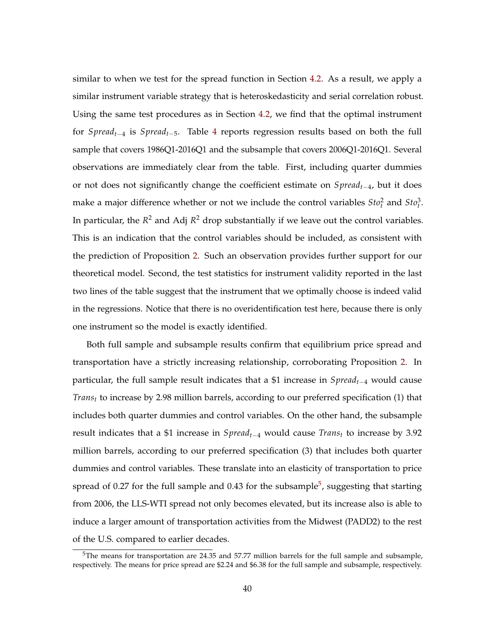similar to when we test for the spread function in Section 4.2. As a result, we apply a similar instrument variable strategy that is heteroskedasticity and serial correlation robust. Using the same test procedures as in Section 4.2, we find that the optimal instrument for *Spreadt*−<sup>4</sup> is *Spreadt*−5. Table 4 reports regression results based on both the full sample that covers 1986Q1-2016Q1 and the subsample that covers 2006Q1-2016Q1. Several observations are immediately clear from the table. First, including quarter dummies or not does not significantly change the coefficient estimate on *Spreadt*−4, but it does make a major difference whether or not we include the control variables  $Sto_t^2$  and  $Sto_t^3$ . In particular, the  $R^2$  and Adj  $R^2$  drop substantially if we leave out the control variables. This is an indication that the control variables should be included, as consistent with the prediction of Proposition 2. Such an observation provides further support for our theoretical model. Second, the test statistics for instrument validity reported in the last two lines of the table suggest that the instrument that we optimally choose is indeed valid in the regressions. Notice that there is no overidentification test here, because there is only one instrument so the model is exactly identified.

Both full sample and subsample results confirm that equilibrium price spread and transportation have a strictly increasing relationship, corroborating Proposition 2. In particular, the full sample result indicates that a \$1 increase in *Spreadt*−<sup>4</sup> would cause *Trans<sup>t</sup>* to increase by 2.98 million barrels, according to our preferred specification (1) that includes both quarter dummies and control variables. On the other hand, the subsample result indicates that a \$1 increase in *Spreadt*−<sup>4</sup> would cause *Trans<sup>t</sup>* to increase by 3.92 million barrels, according to our preferred specification (3) that includes both quarter dummies and control variables. These translate into an elasticity of transportation to price spread of 0.27 for the full sample and 0.43 for the subsample $^5$ , suggesting that starting from 2006, the LLS-WTI spread not only becomes elevated, but its increase also is able to induce a larger amount of transportation activities from the Midwest (PADD2) to the rest of the U.S. compared to earlier decades.

<sup>&</sup>lt;sup>5</sup>The means for transportation are 24.35 and 57.77 million barrels for the full sample and subsample, respectively. The means for price spread are \$2.24 and \$6.38 for the full sample and subsample, respectively.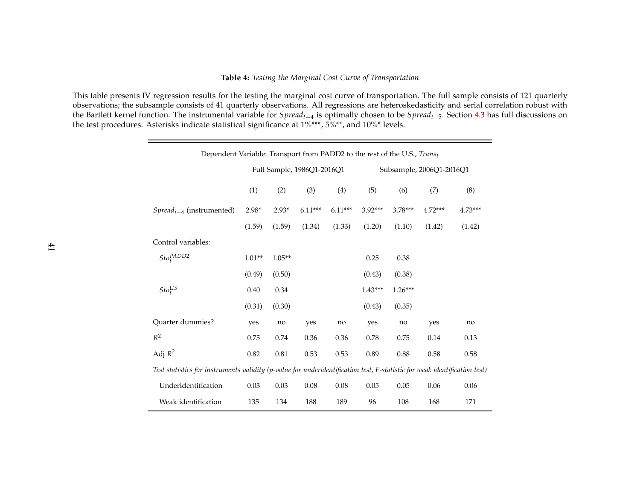# **Table 4:** *Testing the Marginal Cost Curve of Transportation*

This table presents IV regression results for the testing the marginal cost curve of transportation. The full sample consists of 121 quarterly observations; the subsample consists of 41 quarterly observations. All regressions are heteroskedasticity and serial correlation robust with the Bartlett kernel function. The instrumental variable for *Spreadt*−<sup>4</sup> is optimally chosen to be *Spreadt*−5. Section 4.3 has full discussions on the test procedures. Asterisks indicate statistical significance at 1%\*\*\*, 5%\*\*, and 10%\* levels.

| Dependent Variable: Transport from PADD2 to the rest of the U.S., Transt                                                  |                            |          |           |           |                          |           |           |           |  |
|---------------------------------------------------------------------------------------------------------------------------|----------------------------|----------|-----------|-----------|--------------------------|-----------|-----------|-----------|--|
|                                                                                                                           | Full Sample, 1986Q1-2016Q1 |          |           |           | Subsample, 2006Q1-2016Q1 |           |           |           |  |
|                                                                                                                           | (1)                        | (2)      | (3)       | (4)       | (5)                      | (6)       | (7)       | (8)       |  |
| $S\text{}pred_{t-4}$ (instrumented)                                                                                       | $2.98*$                    | $2.93*$  | $6.11***$ | $6.11***$ | 3.92***                  | $3.78***$ | $4.72***$ | $4.73***$ |  |
|                                                                                                                           | (1.59)                     | (1.59)   | (1.34)    | (1.33)    | (1.20)                   | (1.10)    | (1.42)    | (1.42)    |  |
| Control variables:                                                                                                        |                            |          |           |           |                          |           |           |           |  |
| $Sto^{PADD2}_t$                                                                                                           | $1.01**$                   | $1.05**$ |           |           | 0.25                     | 0.38      |           |           |  |
|                                                                                                                           | (0.49)                     | (0.50)   |           |           | (0.43)                   | (0.38)    |           |           |  |
| Sto <sub>t</sub> <sup>US</sup>                                                                                            | 0.40                       | 0.34     |           |           | $1.43***$                | $1.26***$ |           |           |  |
|                                                                                                                           | (0.31)                     | (0.30)   |           |           | (0.43)                   | (0.35)    |           |           |  |
| Quarter dummies?                                                                                                          | yes                        | no       | yes       | no        | yes                      | no        | yes       | no        |  |
| $R^2$                                                                                                                     | 0.75                       | 0.74     | 0.36      | 0.36      | 0.78                     | 0.75      | 0.14      | 0.13      |  |
| Adj $R^2$                                                                                                                 | 0.82                       | $0.81\,$ | 0.53      | 0.53      | 0.89                     | 0.88      | 0.58      | 0.58      |  |
| Test statistics for instruments validity (p-value for underidentification test, F-statistic for weak identification test) |                            |          |           |           |                          |           |           |           |  |
| Underidentification                                                                                                       | 0.03                       | 0.03     | $0.08\,$  | 0.08      | 0.05                     | 0.05      | 0.06      | 0.06      |  |
| Weak identification                                                                                                       | 135                        | 134      | 188       | 189       | 96                       | 108       | 168       | 171       |  |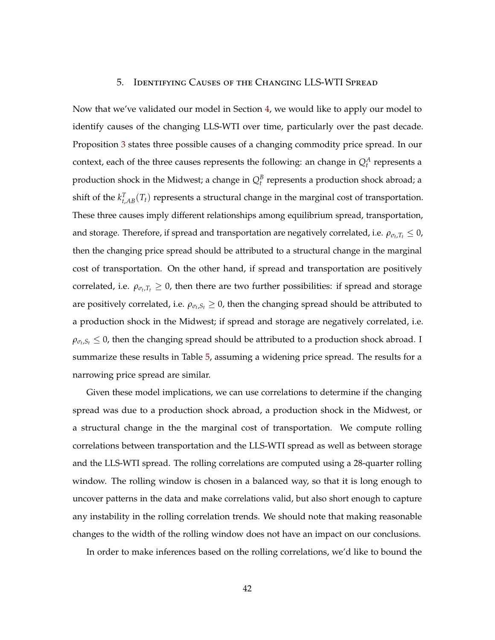# 5. Identifying Causes of the Changing LLS-WTI Spread

Now that we've validated our model in Section 4, we would like to apply our model to identify causes of the changing LLS-WTI over time, particularly over the past decade. Proposition 3 states three possible causes of a changing commodity price spread. In our context, each of the three causes represents the following: an change in  $Q_t^A$  represents a production shock in the Midwest; a change in  $Q_t^B$  represents a production shock abroad; a shift of the  $k_{t,AB}^T(T_t)$  represents a structural change in the marginal cost of transportation. These three causes imply different relationships among equilibrium spread, transportation, and storage. Therefore, if spread and transportation are negatively correlated, i.e.  $\rho_{\sigma_t, T_t} \leq 0$ , then the changing price spread should be attributed to a structural change in the marginal cost of transportation. On the other hand, if spread and transportation are positively correlated, i.e.  $\rho_{\sigma_t,T_t} \geq 0$ , then there are two further possibilities: if spread and storage are positively correlated, i.e.  $\rho_{\sigma_t,S_t} \geq 0$ , then the changing spread should be attributed to a production shock in the Midwest; if spread and storage are negatively correlated, i.e.  $\rho_{\sigma_t,S_t} \leq 0$ , then the changing spread should be attributed to a production shock abroad. I summarize these results in Table 5, assuming a widening price spread. The results for a narrowing price spread are similar.

Given these model implications, we can use correlations to determine if the changing spread was due to a production shock abroad, a production shock in the Midwest, or a structural change in the the marginal cost of transportation. We compute rolling correlations between transportation and the LLS-WTI spread as well as between storage and the LLS-WTI spread. The rolling correlations are computed using a 28-quarter rolling window. The rolling window is chosen in a balanced way, so that it is long enough to uncover patterns in the data and make correlations valid, but also short enough to capture any instability in the rolling correlation trends. We should note that making reasonable changes to the width of the rolling window does not have an impact on our conclusions.

In order to make inferences based on the rolling correlations, we'd like to bound the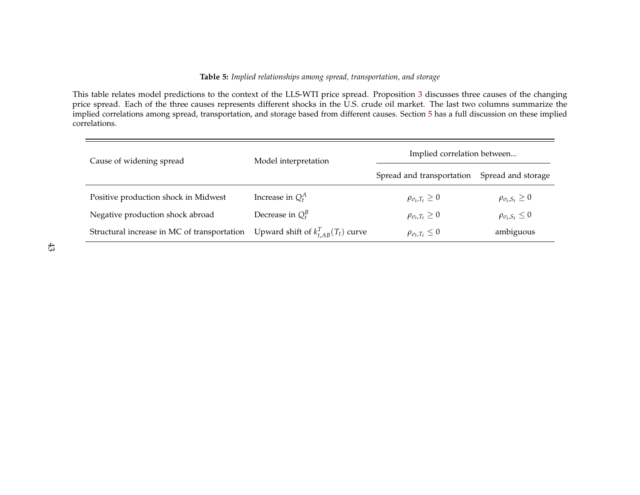#### **Table 5:** *Implied relationships among spread, transportation, and storage*

This table relates model predictions to the context of the LLS-WTI price spread. Proposition 3 discusses three causes of the changing price spread. Each of the three causes represents different shocks in the U.S. crude oil market. The last two columns summarize the implied correlations among spread, transportation, and storage based from different causes. Section 5 has a full discussion on these implied correlations.

| Cause of widening spread                    | Model interpretation                     | Implied correlation between  |                              |  |  |
|---------------------------------------------|------------------------------------------|------------------------------|------------------------------|--|--|
|                                             |                                          | Spread and transportation    | Spread and storage           |  |  |
| Positive production shock in Midwest        | Increase in $Q_t^A$                      | $\rho_{\sigma_t,T_t} \geq 0$ | $\rho_{\sigma_t,S_t} \geq 0$ |  |  |
| Negative production shock abroad            | Decrease in $Q_t^B$                      | $\rho_{\sigma_t,T_t} \geq 0$ | $\rho_{\sigma_t,S_t} \leq 0$ |  |  |
| Structural increase in MC of transportation | Upward shift of $k_{t, AB}^T(T_t)$ curve | $\rho_{\sigma_t,T_t} \leq 0$ | ambiguous                    |  |  |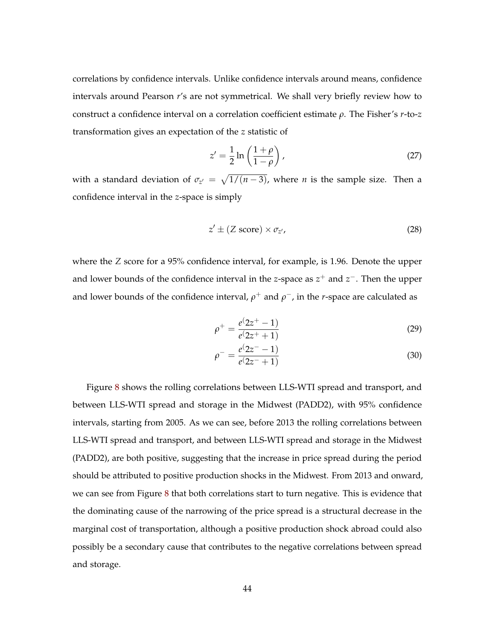correlations by confidence intervals. Unlike confidence intervals around means, confidence intervals around Pearson *r*'s are not symmetrical. We shall very briefly review how to construct a confidence interval on a correlation coefficient estimate *ρ*. The Fisher's *r*-to-*z* transformation gives an expectation of the *z* statistic of

$$
z' = \frac{1}{2} \ln \left( \frac{1+\rho}{1-\rho} \right),\tag{27}
$$

with a standard deviation of  $\sigma_{z'} = \sqrt{1/(n-3)}$ , where *n* is the sample size. Then a confidence interval in the *z*-space is simply

$$
z' \pm (Z \text{ score}) \times \sigma_{z'}, \tag{28}
$$

where the *Z* score for a 95% confidence interval, for example, is 1.96. Denote the upper and lower bounds of the confidence interval in the *z*-space as *z* <sup>+</sup> and *z* <sup>−</sup>. Then the upper and lower bounds of the confidence interval,  $\rho^+$  and  $\rho^-$ , in the *r*-space are calculated as

$$
\rho^+ = \frac{e^{\left(2z^+ - 1\right)}}{e^{\left(2z^+ + 1\right)}}\tag{29}
$$

$$
\rho^{-} = \frac{e^{\left(2z^{-} - 1\right)}}{e^{\left(2z^{-} + 1\right)}}\tag{30}
$$

Figure 8 shows the rolling correlations between LLS-WTI spread and transport, and between LLS-WTI spread and storage in the Midwest (PADD2), with 95% confidence intervals, starting from 2005. As we can see, before 2013 the rolling correlations between LLS-WTI spread and transport, and between LLS-WTI spread and storage in the Midwest (PADD2), are both positive, suggesting that the increase in price spread during the period should be attributed to positive production shocks in the Midwest. From 2013 and onward, we can see from Figure 8 that both correlations start to turn negative. This is evidence that the dominating cause of the narrowing of the price spread is a structural decrease in the marginal cost of transportation, although a positive production shock abroad could also possibly be a secondary cause that contributes to the negative correlations between spread and storage.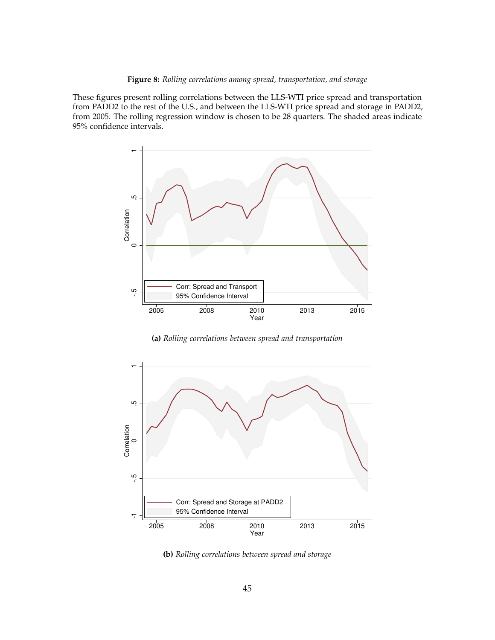**Figure 8:** *Rolling correlations among spread, transportation, and storage*

These figures present rolling correlations between the LLS-WTI price spread and transportation from PADD2 to the rest of the U.S., and between the LLS-WTI price spread and storage in PADD2, from 2005. The rolling regression window is chosen to be 28 quarters. The shaded areas indicate 95% confidence intervals.



**(a)** *Rolling correlations between spread and transportation*



**(b)** *Rolling correlations between spread and storage*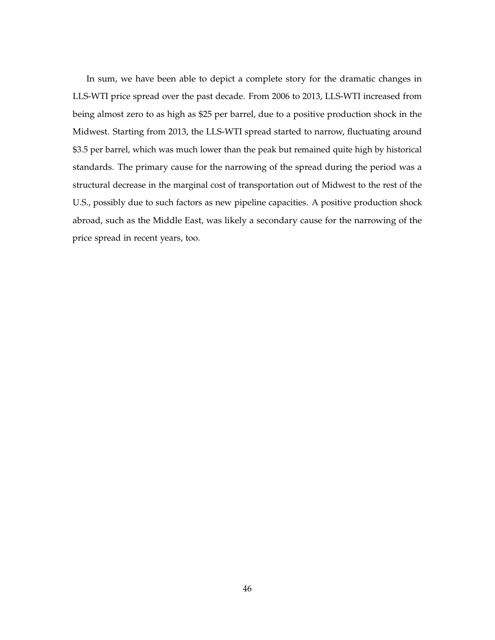In sum, we have been able to depict a complete story for the dramatic changes in LLS-WTI price spread over the past decade. From 2006 to 2013, LLS-WTI increased from being almost zero to as high as \$25 per barrel, due to a positive production shock in the Midwest. Starting from 2013, the LLS-WTI spread started to narrow, fluctuating around \$3.5 per barrel, which was much lower than the peak but remained quite high by historical standards. The primary cause for the narrowing of the spread during the period was a structural decrease in the marginal cost of transportation out of Midwest to the rest of the U.S., possibly due to such factors as new pipeline capacities. A positive production shock abroad, such as the Middle East, was likely a secondary cause for the narrowing of the price spread in recent years, too.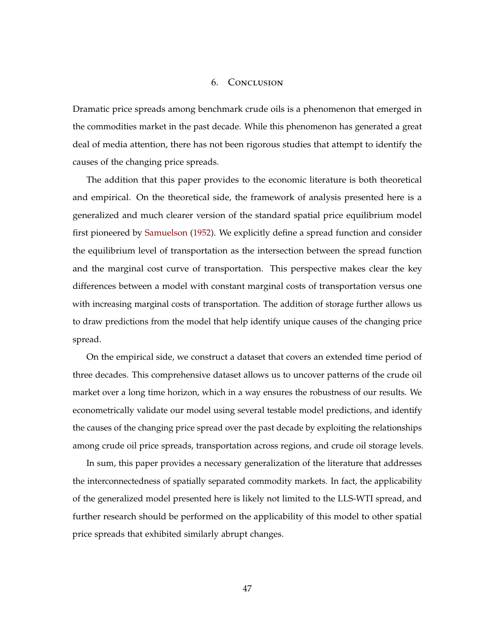#### 6. Conclusion

Dramatic price spreads among benchmark crude oils is a phenomenon that emerged in the commodities market in the past decade. While this phenomenon has generated a great deal of media attention, there has not been rigorous studies that attempt to identify the causes of the changing price spreads.

The addition that this paper provides to the economic literature is both theoretical and empirical. On the theoretical side, the framework of analysis presented here is a generalized and much clearer version of the standard spatial price equilibrium model first pioneered by Samuelson (1952). We explicitly define a spread function and consider the equilibrium level of transportation as the intersection between the spread function and the marginal cost curve of transportation. This perspective makes clear the key differences between a model with constant marginal costs of transportation versus one with increasing marginal costs of transportation. The addition of storage further allows us to draw predictions from the model that help identify unique causes of the changing price spread.

On the empirical side, we construct a dataset that covers an extended time period of three decades. This comprehensive dataset allows us to uncover patterns of the crude oil market over a long time horizon, which in a way ensures the robustness of our results. We econometrically validate our model using several testable model predictions, and identify the causes of the changing price spread over the past decade by exploiting the relationships among crude oil price spreads, transportation across regions, and crude oil storage levels.

In sum, this paper provides a necessary generalization of the literature that addresses the interconnectedness of spatially separated commodity markets. In fact, the applicability of the generalized model presented here is likely not limited to the LLS-WTI spread, and further research should be performed on the applicability of this model to other spatial price spreads that exhibited similarly abrupt changes.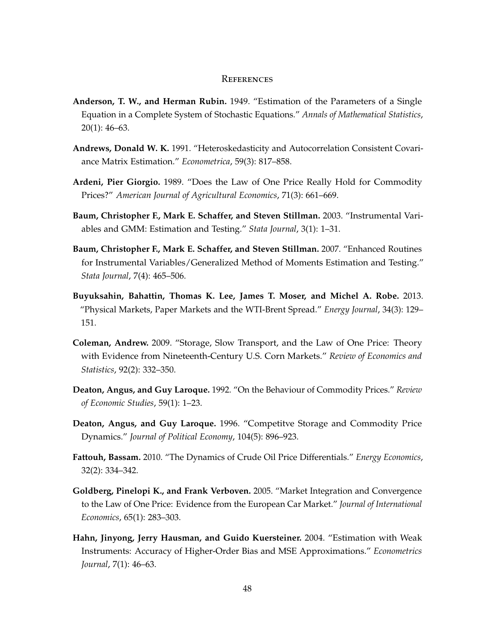#### **REFERENCES**

- **Anderson, T. W., and Herman Rubin.** 1949. "Estimation of the Parameters of a Single Equation in a Complete System of Stochastic Equations." *Annals of Mathematical Statistics*, 20(1): 46–63.
- **Andrews, Donald W. K.** 1991. "Heteroskedasticity and Autocorrelation Consistent Covariance Matrix Estimation." *Econometrica*, 59(3): 817–858.
- **Ardeni, Pier Giorgio.** 1989. "Does the Law of One Price Really Hold for Commodity Prices?" *American Journal of Agricultural Economics*, 71(3): 661–669.
- **Baum, Christopher F., Mark E. Schaffer, and Steven Stillman.** 2003. "Instrumental Variables and GMM: Estimation and Testing." *Stata Journal*, 3(1): 1–31.
- **Baum, Christopher F., Mark E. Schaffer, and Steven Stillman.** 2007. "Enhanced Routines for Instrumental Variables/Generalized Method of Moments Estimation and Testing." *Stata Journal*, 7(4): 465–506.
- **Buyuksahin, Bahattin, Thomas K. Lee, James T. Moser, and Michel A. Robe.** 2013. "Physical Markets, Paper Markets and the WTI-Brent Spread." *Energy Journal*, 34(3): 129– 151.
- **Coleman, Andrew.** 2009. "Storage, Slow Transport, and the Law of One Price: Theory with Evidence from Nineteenth-Century U.S. Corn Markets." *Review of Economics and Statistics*, 92(2): 332–350.
- **Deaton, Angus, and Guy Laroque.** 1992. "On the Behaviour of Commodity Prices." *Review of Economic Studies*, 59(1): 1–23.
- **Deaton, Angus, and Guy Laroque.** 1996. "Competitve Storage and Commodity Price Dynamics." *Journal of Political Economy*, 104(5): 896–923.
- **Fattouh, Bassam.** 2010. "The Dynamics of Crude Oil Price Differentials." *Energy Economics*, 32(2): 334–342.
- **Goldberg, Pinelopi K., and Frank Verboven.** 2005. "Market Integration and Convergence to the Law of One Price: Evidence from the European Car Market." *Journal of International Economics*, 65(1): 283–303.
- **Hahn, Jinyong, Jerry Hausman, and Guido Kuersteiner.** 2004. "Estimation with Weak Instruments: Accuracy of Higher-Order Bias and MSE Approximations." *Econometrics Journal*, 7(1): 46–63.